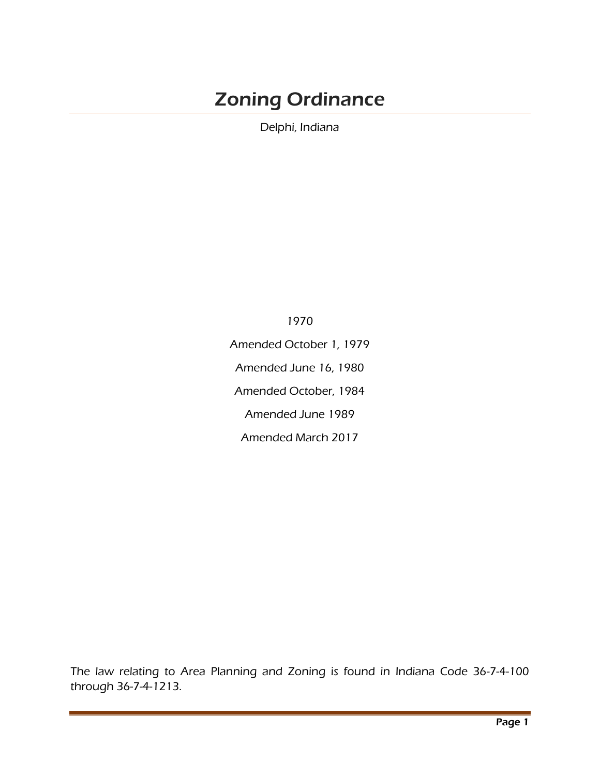# Zoning Ordinance

Delphi, Indiana

1970 Amended October 1, 1979 Amended June 16, 1980 Amended October, 1984 Amended June 1989 Amended March 2017

The law relating to Area Planning and Zoning is found in Indiana Code 36-7-4-100 through 36-7-4-1213.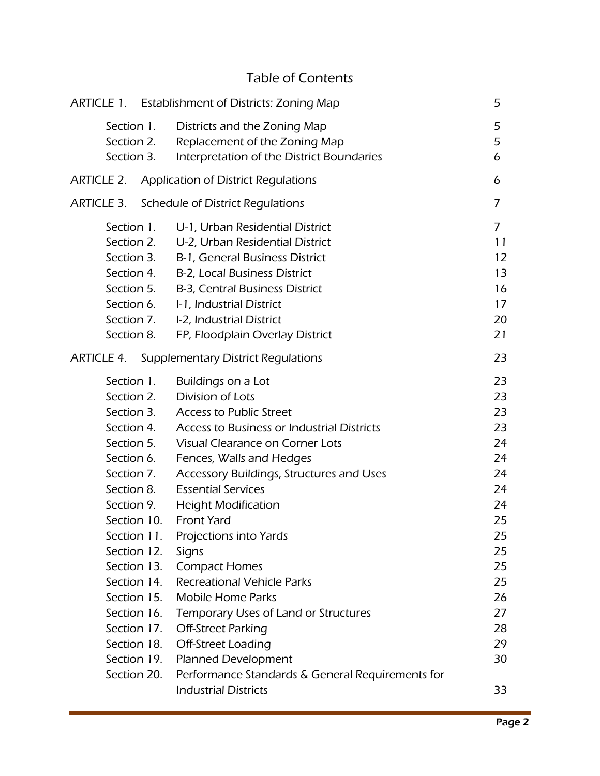# Table of Contents

|                   |             | ARTICLE 1. Establishment of Districts: Zoning Map    | 5              |
|-------------------|-------------|------------------------------------------------------|----------------|
| Section 1.        |             | Districts and the Zoning Map                         | 5              |
| Section 2.        |             | Replacement of the Zoning Map                        | 5              |
| Section 3.        |             | Interpretation of the District Boundaries            | 6              |
| <b>ARTICLE 2.</b> |             | Application of District Regulations                  | 6              |
| <b>ARTICLE 3.</b> |             | Schedule of District Regulations                     | 7              |
| Section 1.        |             | U-1, Urban Residential District                      | $\overline{7}$ |
| Section 2.        |             | U-2, Urban Residential District                      | 11             |
| Section 3.        |             | B-1, General Business District                       | 12             |
|                   | Section 4.  | B-2, Local Business District                         | 13             |
| Section 5.        |             | B-3, Central Business District                       | 16             |
| Section 6.        |             | I-1, Industrial District                             | 17             |
| Section 7.        |             | I-2, Industrial District                             | 20             |
| Section 8.        |             | FP, Floodplain Overlay District                      | 21             |
|                   |             | <b>ARTICLE 4. Supplementary District Regulations</b> | 23             |
| Section 1.        |             | Buildings on a Lot                                   | 23             |
| Section 2.        |             | Division of Lots                                     | 23             |
| Section 3.        |             | <b>Access to Public Street</b>                       | 23             |
|                   | Section 4.  | Access to Business or Industrial Districts           | 23             |
| Section 5.        |             | Visual Clearance on Corner Lots                      | 24             |
| Section 6.        |             | Fences, Walls and Hedges                             | 24             |
| Section 7.        |             | Accessory Buildings, Structures and Uses             | 24             |
| Section 8.        |             | <b>Essential Services</b>                            | 24             |
| Section 9.        |             | <b>Height Modification</b>                           | 24             |
|                   |             | Section 10. Front Yard                               | 25             |
| Section 11.       |             | Projections into Yards                               | 25             |
| Section 12.       |             | Signs                                                | 25             |
| Section 13.       |             | <b>Compact Homes</b>                                 | 25             |
| Section 14.       |             | <b>Recreational Vehicle Parks</b>                    | 25             |
|                   | Section 15. | <b>Mobile Home Parks</b>                             | 26             |
| Section 16.       |             | Temporary Uses of Land or Structures                 | 27             |
| Section 17.       |             | <b>Off-Street Parking</b>                            | 28             |
| Section 18.       |             | Off-Street Loading                                   | 29             |
| Section 19.       |             | Planned Development                                  | 30             |
| Section 20.       |             | Performance Standards & General Requirements for     |                |
|                   |             | <b>Industrial Districts</b>                          | 33             |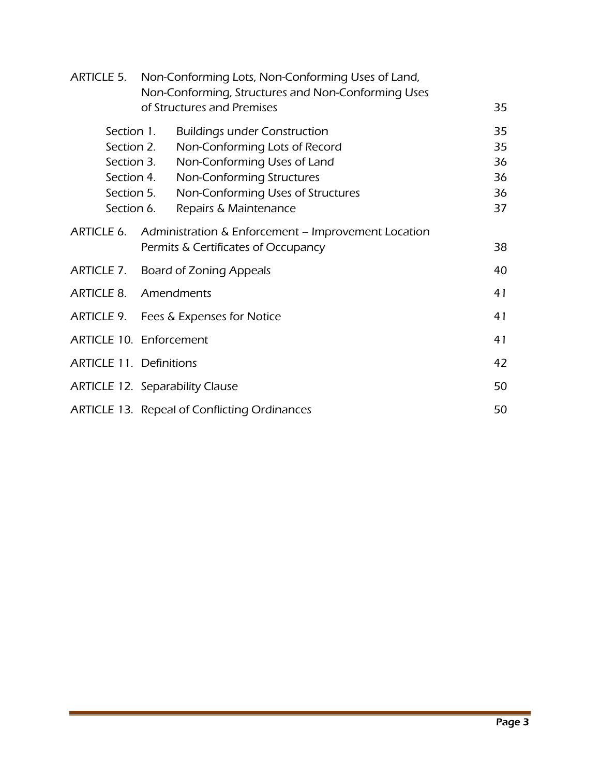|                                | ARTICLE 5. Non-Conforming Lots, Non-Conforming Uses of Land,<br>Non-Conforming, Structures and Non-Conforming Uses |    |  |
|--------------------------------|--------------------------------------------------------------------------------------------------------------------|----|--|
|                                | of Structures and Premises                                                                                         | 35 |  |
| Section 1.                     | <b>Buildings under Construction</b>                                                                                | 35 |  |
|                                | Non-Conforming Lots of Record<br>Section 2.                                                                        | 35 |  |
|                                | Non-Conforming Uses of Land<br>Section 3.                                                                          | 36 |  |
|                                | Non-Conforming Structures<br>Section 4.                                                                            | 36 |  |
|                                | Non-Conforming Uses of Structures<br>Section 5.                                                                    | 36 |  |
| Section 6.                     | Repairs & Maintenance                                                                                              | 37 |  |
|                                | ARTICLE 6. Administration & Enforcement – Improvement Location                                                     |    |  |
|                                | Permits & Certificates of Occupancy                                                                                | 38 |  |
|                                | ARTICLE 7. Board of Zoning Appeals                                                                                 |    |  |
|                                | <b>ARTICLE 8. Amendments</b>                                                                                       |    |  |
|                                | ARTICLE 9. Fees & Expenses for Notice                                                                              |    |  |
|                                | ARTICLE 10. Enforcement                                                                                            |    |  |
| <b>ARTICLE 11. Definitions</b> |                                                                                                                    |    |  |
|                                | <b>ARTICLE 12. Separability Clause</b>                                                                             |    |  |
|                                | 50<br>ARTICLE 13. Repeal of Conflicting Ordinances                                                                 |    |  |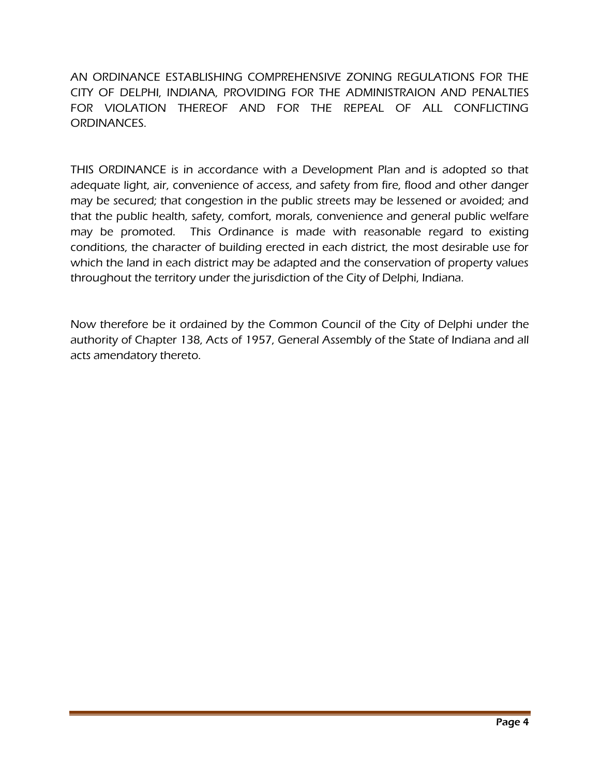AN ORDINANCE ESTABLISHING COMPREHENSIVE ZONING REGULATIONS FOR THE CITY OF DELPHI, INDIANA, PROVIDING FOR THE ADMINISTRAION AND PENALTIES FOR VIOLATION THEREOF AND FOR THE REPEAL OF ALL CONFLICTING ORDINANCES.

THIS ORDINANCE is in accordance with a Development Plan and is adopted so that adequate light, air, convenience of access, and safety from fire, flood and other danger may be secured; that congestion in the public streets may be lessened or avoided; and that the public health, safety, comfort, morals, convenience and general public welfare may be promoted. This Ordinance is made with reasonable regard to existing conditions, the character of building erected in each district, the most desirable use for which the land in each district may be adapted and the conservation of property values throughout the territory under the jurisdiction of the City of Delphi, Indiana.

Now therefore be it ordained by the Common Council of the City of Delphi under the authority of Chapter 138, Acts of 1957, General Assembly of the State of Indiana and all acts amendatory thereto.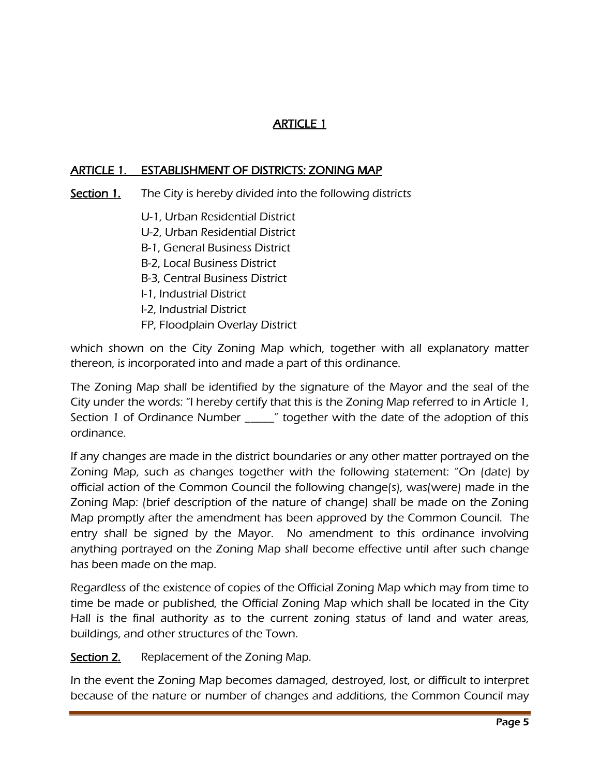# ARTICLE 1

#### ARTICLE 1. ESTABLISHMENT OF DISTRICTS: ZONING MAP

- Section 1. The City is hereby divided into the following districts
	- U-1, Urban Residential District
	- U-2, Urban Residential District
	- B-1, General Business District
	- B-2, Local Business District
	- B-3, Central Business District
	- I-1, Industrial District
	- I-2, Industrial District
	- FP, Floodplain Overlay District

which shown on the City Zoning Map which, together with all explanatory matter thereon, is incorporated into and made a part of this ordinance.

The Zoning Map shall be identified by the signature of the Mayor and the seal of the City under the words: "I hereby certify that this is the Zoning Map referred to in Article 1, Section 1 of Ordinance Number \_\_\_\_\_" together with the date of the adoption of this ordinance.

If any changes are made in the district boundaries or any other matter portrayed on the Zoning Map, such as changes together with the following statement: "On (date) by official action of the Common Council the following change(s), was(were) made in the Zoning Map: (brief description of the nature of change) shall be made on the Zoning Map promptly after the amendment has been approved by the Common Council. The entry shall be signed by the Mayor. No amendment to this ordinance involving anything portrayed on the Zoning Map shall become effective until after such change has been made on the map.

Regardless of the existence of copies of the Official Zoning Map which may from time to time be made or published, the Official Zoning Map which shall be located in the City Hall is the final authority as to the current zoning status of land and water areas, buildings, and other structures of the Town.

Section 2. Replacement of the Zoning Map.

In the event the Zoning Map becomes damaged, destroyed, lost, or difficult to interpret because of the nature or number of changes and additions, the Common Council may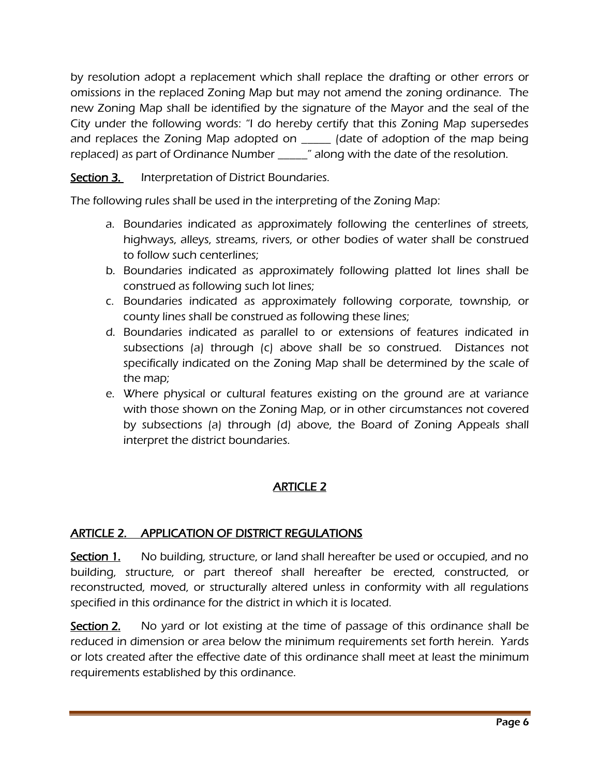by resolution adopt a replacement which shall replace the drafting or other errors or omissions in the replaced Zoning Map but may not amend the zoning ordinance. The new Zoning Map shall be identified by the signature of the Mayor and the seal of the City under the following words: "I do hereby certify that this Zoning Map supersedes and replaces the Zoning Map adopted on \_\_\_\_\_ (date of adoption of the map being replaced) as part of Ordinance Number \_\_\_\_\_" along with the date of the resolution.

Section 3. Interpretation of District Boundaries.

The following rules shall be used in the interpreting of the Zoning Map:

- a. Boundaries indicated as approximately following the centerlines of streets, highways, alleys, streams, rivers, or other bodies of water shall be construed to follow such centerlines;
- b. Boundaries indicated as approximately following platted lot lines shall be construed as following such lot lines;
- c. Boundaries indicated as approximately following corporate, township, or county lines shall be construed as following these lines;
- d. Boundaries indicated as parallel to or extensions of features indicated in subsections (a) through (c) above shall be so construed. Distances not specifically indicated on the Zoning Map shall be determined by the scale of the map;
- e. Where physical or cultural features existing on the ground are at variance with those shown on the Zoning Map, or in other circumstances not covered by subsections (a) through (d) above, the Board of Zoning Appeals shall interpret the district boundaries.

# ARTICLE 2

# ARTICLE 2. APPLICATION OF DISTRICT REGULATIONS

Section 1. No building, structure, or land shall hereafter be used or occupied, and no building, structure, or part thereof shall hereafter be erected, constructed, or reconstructed, moved, or structurally altered unless in conformity with all regulations specified in this ordinance for the district in which it is located.

Section 2. No yard or lot existing at the time of passage of this ordinance shall be reduced in dimension or area below the minimum requirements set forth herein. Yards or lots created after the effective date of this ordinance shall meet at least the minimum requirements established by this ordinance.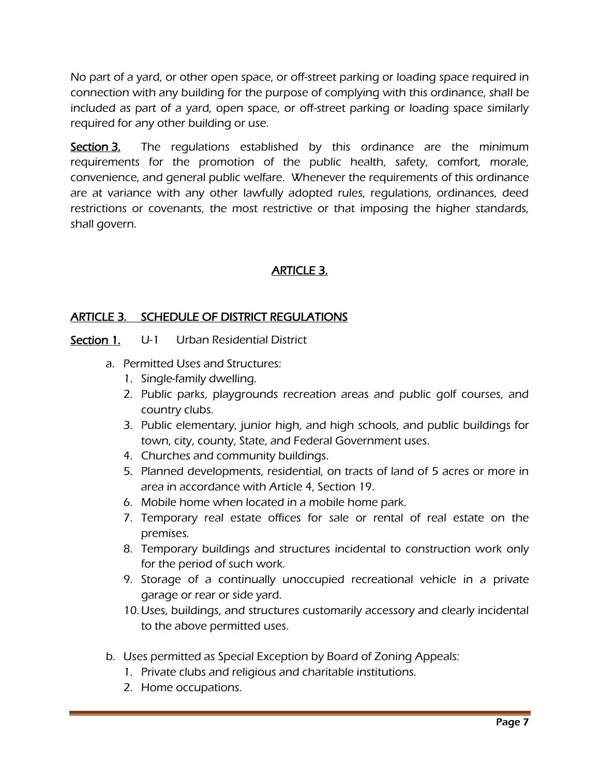No part of a yard, or other open space, or off-street parking or loading space required in connection with any building for the purpose of complying with this ordinance, shall be included as part of a yard, open space, or off-street parking or loading space similarly required for any other building or use.

Section 3. The regulations established by this ordinance are the minimum requirements for the promotion of the public health, safety, comfort, morale, convenience, and general public welfare. Whenever the requirements of this ordinance are at variance with any other lawfully adopted rules, regulations, ordinances, deed restrictions or covenants, the most restrictive or that imposing the higher standards, shall govern.

# ARTICLE 3.

# ARTICLE 3. SCHEDULE OF DISTRICT REGULATIONS

# Section 1. U-1 Urban Residential District

- a. Permitted Uses and Structures:
	- 1. Single-family dwelling.
	- 2. Public parks, playgrounds recreation areas and public golf courses, and country clubs.
	- 3. Public elementary, junior high, and high schools, and public buildings for town, city, county, State, and Federal Government uses.
	- 4. Churches and community buildings.
	- 5. Planned developments, residential, on tracts of land of 5 acres or more in area in accordance with Article 4, Section 19.
	- 6. Mobile home when located in a mobile home park.
	- 7. Temporary real estate offices for sale or rental of real estate on the premises.
	- 8. Temporary buildings and structures incidental to construction work only for the period of such work.
	- 9. Storage of a continually unoccupied recreational vehicle in a private garage or rear or side yard.
	- 10.Uses, buildings, and structures customarily accessory and clearly incidental to the above permitted uses.
- b. Uses permitted as Special Exception by Board of Zoning Appeals:
	- 1. Private clubs and religious and charitable institutions.
	- 2. Home occupations.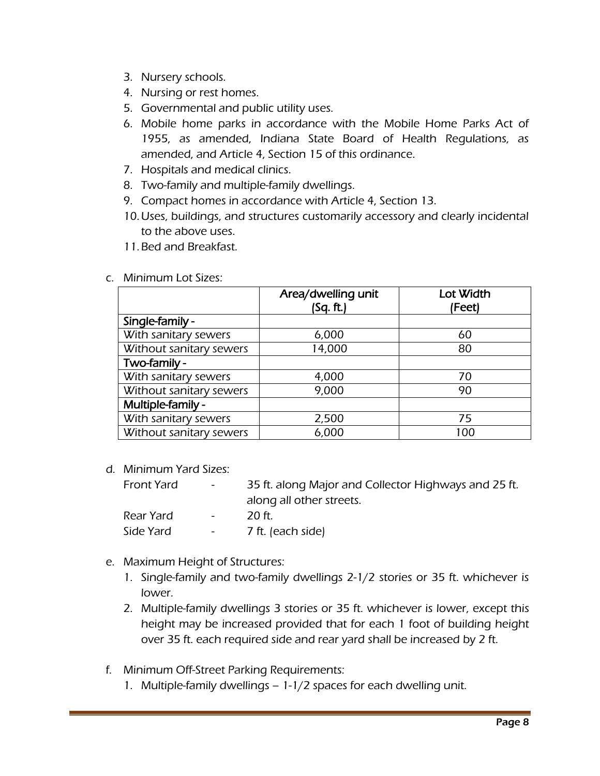- 3. Nursery schools.
- 4. Nursing or rest homes.
- 5. Governmental and public utility uses.
- 6. Mobile home parks in accordance with the Mobile Home Parks Act of 1955, as amended, Indiana State Board of Health Regulations, as amended, and Article 4, Section 15 of this ordinance.
- 7. Hospitals and medical clinics.
- 8. Two-family and multiple-family dwellings.
- 9. Compact homes in accordance with Article 4, Section 13.
- 10.Uses, buildings, and structures customarily accessory and clearly incidental to the above uses.
- 11.Bed and Breakfast.
- c. Minimum Lot Sizes:

|                         | Area/dwelling unit<br>(Sq. ft.) | Lot Width<br>(Feet) |
|-------------------------|---------------------------------|---------------------|
| Single-family -         |                                 |                     |
| With sanitary sewers    | 6,000                           | 60                  |
| Without sanitary sewers | 14,000                          | 80                  |
| Two-family -            |                                 |                     |
| With sanitary sewers    | 4,000                           | 70                  |
| Without sanitary sewers | 9,000                           | 90                  |
| Multiple-family -       |                                 |                     |
| With sanitary sewers    | 2,500                           | 75                  |
| Without sanitary sewers | 6,000                           | 100                 |

d. Minimum Yard Sizes:

| Front Yard | $\sim 1000$                     | 35 ft. along Major and Collector Highways and 25 ft. |
|------------|---------------------------------|------------------------------------------------------|
|            |                                 | along all other streets.                             |
| Rear Yard  | $\sim$ 100 $\mu$                | -20 ft.                                              |
| Side Yard  | $\frac{1}{2}$ and $\frac{1}{2}$ | 7 ft. (each side)                                    |

#### e. Maximum Height of Structures:

- 1. Single-family and two-family dwellings 2-1/2 stories or 35 ft. whichever is lower.
- 2. Multiple-family dwellings 3 stories or 35 ft. whichever is lower, except this height may be increased provided that for each 1 foot of building height over 35 ft. each required side and rear yard shall be increased by 2 ft.
- f. Minimum Off-Street Parking Requirements:
	- 1. Multiple-family dwellings 1-1/2 spaces for each dwelling unit.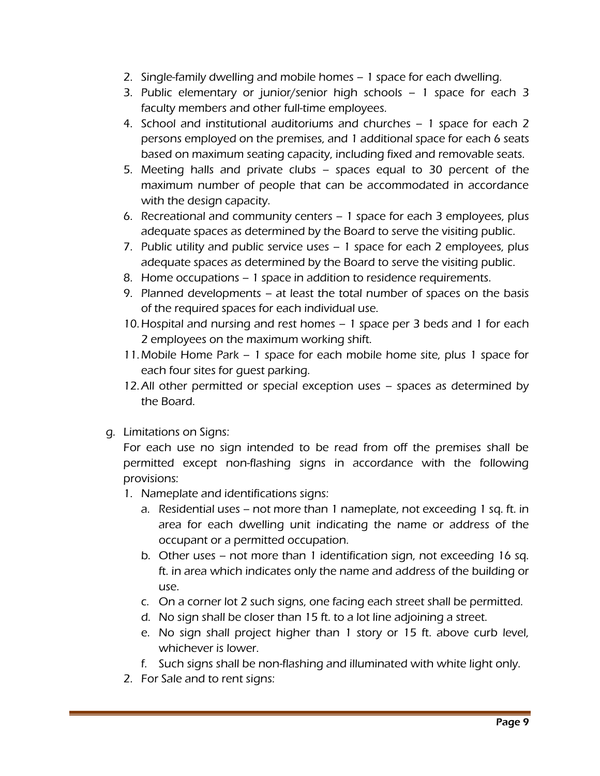- 2. Single-family dwelling and mobile homes 1 space for each dwelling.
- 3. Public elementary or junior/senior high schools 1 space for each 3 faculty members and other full-time employees.
- 4. School and institutional auditoriums and churches 1 space for each 2 persons employed on the premises, and 1 additional space for each 6 seats based on maximum seating capacity, including fixed and removable seats.
- 5. Meeting halls and private clubs spaces equal to 30 percent of the maximum number of people that can be accommodated in accordance with the design capacity.
- 6. Recreational and community centers 1 space for each 3 employees, plus adequate spaces as determined by the Board to serve the visiting public.
- 7. Public utility and public service uses 1 space for each 2 employees, plus adequate spaces as determined by the Board to serve the visiting public.
- 8. Home occupations 1 space in addition to residence requirements.
- 9. Planned developments at least the total number of spaces on the basis of the required spaces for each individual use.
- 10.Hospital and nursing and rest homes 1 space per 3 beds and 1 for each 2 employees on the maximum working shift.
- 11.Mobile Home Park 1 space for each mobile home site, plus 1 space for each four sites for guest parking.
- 12.All other permitted or special exception uses spaces as determined by the Board.
- g. Limitations on Signs:

For each use no sign intended to be read from off the premises shall be permitted except non-flashing signs in accordance with the following provisions:

- 1. Nameplate and identifications signs:
	- a. Residential uses not more than 1 nameplate, not exceeding 1 sq. ft. in area for each dwelling unit indicating the name or address of the occupant or a permitted occupation.
	- b. Other uses not more than 1 identification sign, not exceeding 16 sq. ft. in area which indicates only the name and address of the building or use.
	- c. On a corner lot 2 such signs, one facing each street shall be permitted.
	- d. No sign shall be closer than 15 ft. to a lot line adjoining a street.
	- e. No sign shall project higher than 1 story or 15 ft. above curb level, whichever is lower.
	- f. Such signs shall be non-flashing and illuminated with white light only.
- 2. For Sale and to rent signs: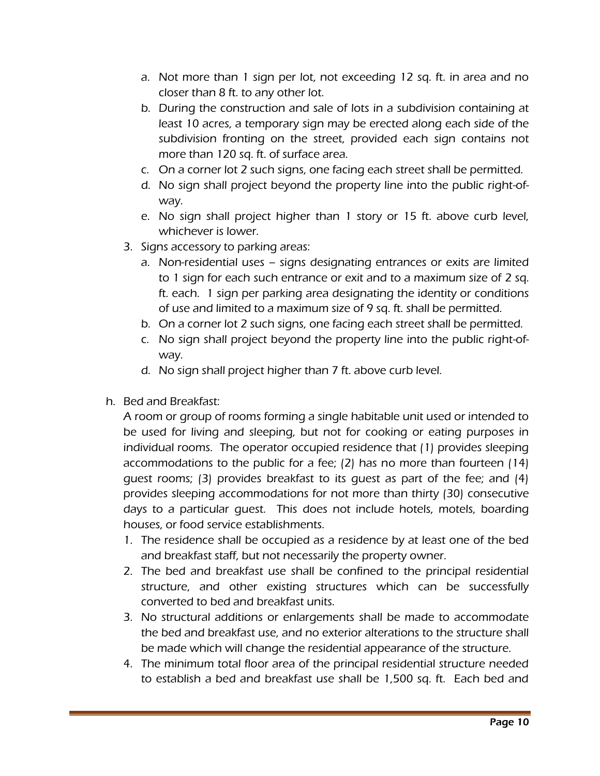- a. Not more than 1 sign per lot, not exceeding 12 sq. ft. in area and no closer than 8 ft. to any other lot.
- b. During the construction and sale of lots in a subdivision containing at least 10 acres, a temporary sign may be erected along each side of the subdivision fronting on the street, provided each sign contains not more than 120 sq. ft. of surface area.
- c. On a corner lot 2 such signs, one facing each street shall be permitted.
- d. No sign shall project beyond the property line into the public right-ofway.
- e. No sign shall project higher than 1 story or 15 ft. above curb level, whichever is lower.
- 3. Signs accessory to parking areas:
	- a. Non-residential uses signs designating entrances or exits are limited to 1 sign for each such entrance or exit and to a maximum size of 2 sq. ft. each. 1 sign per parking area designating the identity or conditions of use and limited to a maximum size of 9 sq. ft. shall be permitted.
	- b. On a corner lot 2 such signs, one facing each street shall be permitted.
	- c. No sign shall project beyond the property line into the public right-ofway.
	- d. No sign shall project higher than 7 ft. above curb level.
- h. Bed and Breakfast:

A room or group of rooms forming a single habitable unit used or intended to be used for living and sleeping, but not for cooking or eating purposes in individual rooms. The operator occupied residence that (1) provides sleeping accommodations to the public for a fee; (2) has no more than fourteen (14) guest rooms; (3) provides breakfast to its guest as part of the fee; and (4) provides sleeping accommodations for not more than thirty (30) consecutive days to a particular guest. This does not include hotels, motels, boarding houses, or food service establishments.

- 1. The residence shall be occupied as a residence by at least one of the bed and breakfast staff, but not necessarily the property owner.
- 2. The bed and breakfast use shall be confined to the principal residential structure, and other existing structures which can be successfully converted to bed and breakfast units.
- 3. No structural additions or enlargements shall be made to accommodate the bed and breakfast use, and no exterior alterations to the structure shall be made which will change the residential appearance of the structure.
- 4. The minimum total floor area of the principal residential structure needed to establish a bed and breakfast use shall be 1,500 sq. ft. Each bed and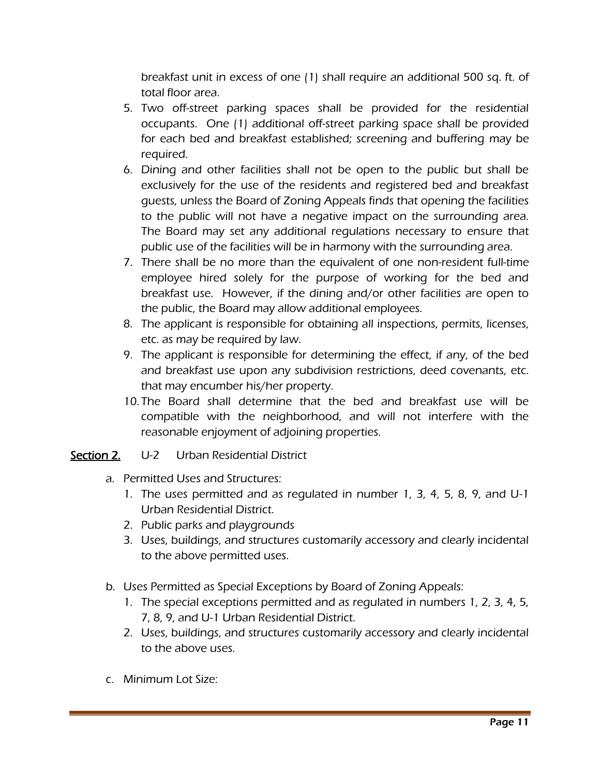breakfast unit in excess of one (1) shall require an additional 500 sq. ft. of total floor area.

- 5. Two off-street parking spaces shall be provided for the residential occupants. One (1) additional off-street parking space shall be provided for each bed and breakfast established; screening and buffering may be required.
- 6. Dining and other facilities shall not be open to the public but shall be exclusively for the use of the residents and registered bed and breakfast guests, unless the Board of Zoning Appeals finds that opening the facilities to the public will not have a negative impact on the surrounding area. The Board may set any additional regulations necessary to ensure that public use of the facilities will be in harmony with the surrounding area.
- 7. There shall be no more than the equivalent of one non-resident full-time employee hired solely for the purpose of working for the bed and breakfast use. However, if the dining and/or other facilities are open to the public, the Board may allow additional employees.
- 8. The applicant is responsible for obtaining all inspections, permits, licenses, etc. as may be required by law.
- 9. The applicant is responsible for determining the effect, if any, of the bed and breakfast use upon any subdivision restrictions, deed covenants, etc. that may encumber his/her property.
- 10. The Board shall determine that the bed and breakfast use will be compatible with the neighborhood, and will not interfere with the reasonable enjoyment of adjoining properties.

## Section 2. U-2 Urban Residential District

- a. Permitted Uses and Structures:
	- 1. The uses permitted and as regulated in number 1, 3, 4, 5, 8, 9, and U-1 Urban Residential District.
	- 2. Public parks and playgrounds
	- 3. Uses, buildings, and structures customarily accessory and clearly incidental to the above permitted uses.
	- b. Uses Permitted as Special Exceptions by Board of Zoning Appeals:
		- 1. The special exceptions permitted and as regulated in numbers 1, 2, 3, 4, 5, 7, 8, 9, and U-1 Urban Residential District.
		- 2. Uses, buildings, and structures customarily accessory and clearly incidental to the above uses.
- c. Minimum Lot Size: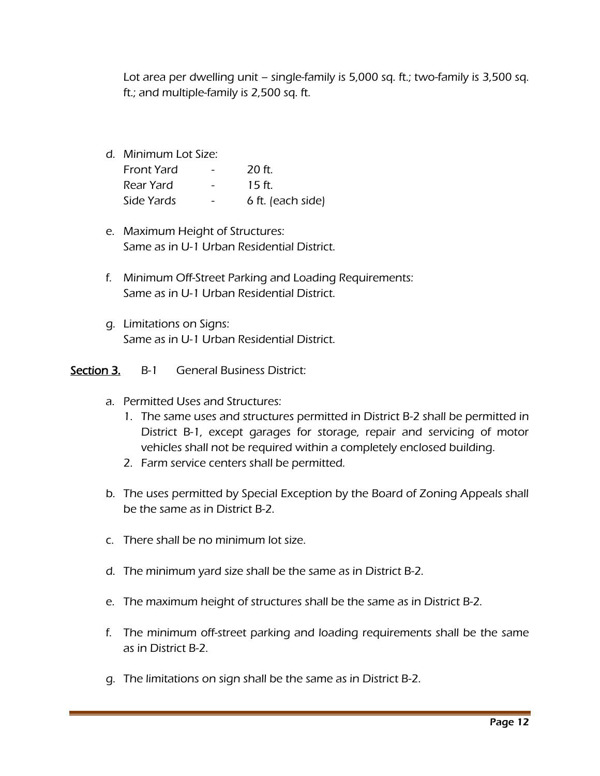Lot area per dwelling unit – single-family is 5,000 sq. ft.; two-family is 3,500 sq. ft.; and multiple-family is 2,500 sq. ft.

d. Minimum Lot Size:

| <b>Front Yard</b> | $\qquad \qquad$ | $20$ ft.          |
|-------------------|-----------------|-------------------|
| Rear Yard         |                 | 15 ft.            |
| Side Yards        |                 | 6 ft. (each side) |

- e. Maximum Height of Structures: Same as in U-1 Urban Residential District.
- f. Minimum Off-Street Parking and Loading Requirements: Same as in U-1 Urban Residential District.
- g. Limitations on Signs: Same as in U-1 Urban Residential District.

#### Section 3. B-1 General Business District:

- a. Permitted Uses and Structures:
	- 1. The same uses and structures permitted in District B-2 shall be permitted in District B-1, except garages for storage, repair and servicing of motor vehicles shall not be required within a completely enclosed building.
	- 2. Farm service centers shall be permitted.
- b. The uses permitted by Special Exception by the Board of Zoning Appeals shall be the same as in District B-2.
- c. There shall be no minimum lot size.
- d. The minimum yard size shall be the same as in District B-2.
- e. The maximum height of structures shall be the same as in District B-2.
- f. The minimum off-street parking and loading requirements shall be the same as in District B-2.
- g. The limitations on sign shall be the same as in District B-2.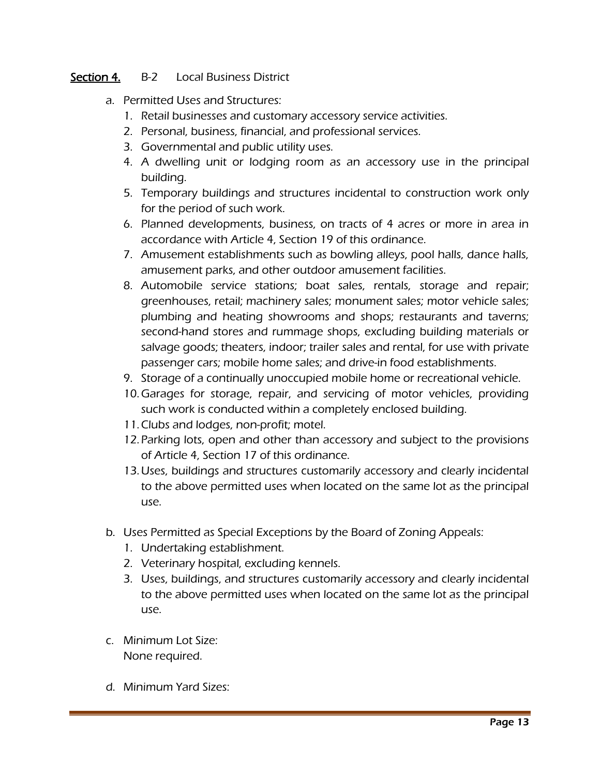#### Section 4. B-2 Local Business District

- a. Permitted Uses and Structures:
	- 1. Retail businesses and customary accessory service activities.
	- 2. Personal, business, financial, and professional services.
	- 3. Governmental and public utility uses.
	- 4. A dwelling unit or lodging room as an accessory use in the principal building.
	- 5. Temporary buildings and structures incidental to construction work only for the period of such work.
	- 6. Planned developments, business, on tracts of 4 acres or more in area in accordance with Article 4, Section 19 of this ordinance.
	- 7. Amusement establishments such as bowling alleys, pool halls, dance halls, amusement parks, and other outdoor amusement facilities.
	- 8. Automobile service stations; boat sales, rentals, storage and repair; greenhouses, retail; machinery sales; monument sales; motor vehicle sales; plumbing and heating showrooms and shops; restaurants and taverns; second-hand stores and rummage shops, excluding building materials or salvage goods; theaters, indoor; trailer sales and rental, for use with private passenger cars; mobile home sales; and drive-in food establishments.
	- 9. Storage of a continually unoccupied mobile home or recreational vehicle.
	- 10.Garages for storage, repair, and servicing of motor vehicles, providing such work is conducted within a completely enclosed building.
	- 11.Clubs and lodges, non-profit; motel.
	- 12.Parking lots, open and other than accessory and subject to the provisions of Article 4, Section 17 of this ordinance.
	- 13.Uses, buildings and structures customarily accessory and clearly incidental to the above permitted uses when located on the same lot as the principal use.
- b. Uses Permitted as Special Exceptions by the Board of Zoning Appeals:
	- 1. Undertaking establishment.
	- 2. Veterinary hospital, excluding kennels.
	- 3. Uses, buildings, and structures customarily accessory and clearly incidental to the above permitted uses when located on the same lot as the principal use.
- c. Minimum Lot Size: None required.
- d. Minimum Yard Sizes: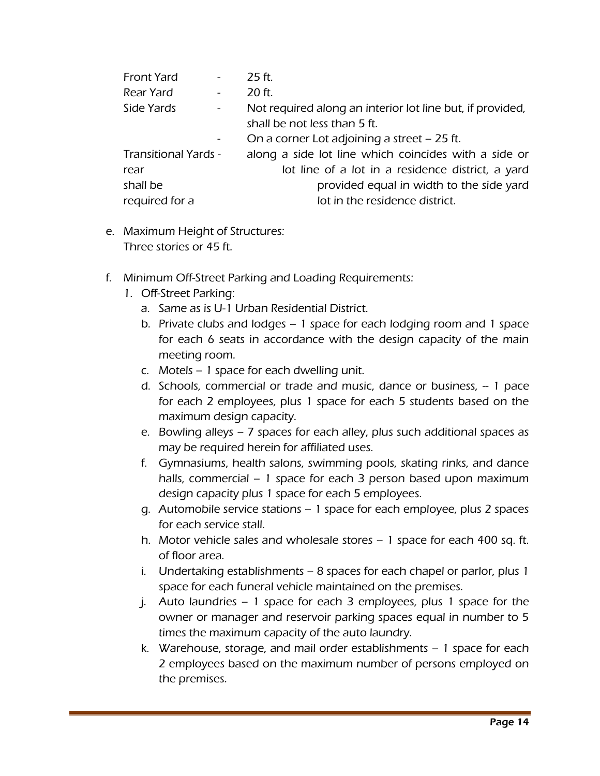| <b>Front Yard</b>           |        | 25 ft.                                                    |
|-----------------------------|--------|-----------------------------------------------------------|
| Rear Yard                   |        | 20 ft.                                                    |
| Side Yards                  | $\sim$ | Not required along an interior lot line but, if provided, |
|                             |        | shall be not less than 5 ft.                              |
|                             |        | On a corner Lot adjoining a street – 25 ft.               |
| <b>Transitional Yards -</b> |        | along a side lot line which coincides with a side or      |
| rear                        |        | lot line of a lot in a residence district, a yard         |
| shall be                    |        | provided equal in width to the side yard                  |
| required for a              |        | lot in the residence district.                            |
|                             |        |                                                           |

- e. Maximum Height of Structures: Three stories or 45 ft.
- f. Minimum Off-Street Parking and Loading Requirements:
	- 1. Off-Street Parking:
		- a. Same as is U-1 Urban Residential District.
		- b. Private clubs and lodges 1 space for each lodging room and 1 space for each 6 seats in accordance with the design capacity of the main meeting room.
		- c. Motels 1 space for each dwelling unit.
		- d. Schools, commercial or trade and music, dance or business, -- 1 pace for each 2 employees, plus 1 space for each 5 students based on the maximum design capacity.
		- e. Bowling alleys 7 spaces for each alley, plus such additional spaces as may be required herein for affiliated uses.
		- f. Gymnasiums, health salons, swimming pools, skating rinks, and dance halls, commercial – 1 space for each 3 person based upon maximum design capacity plus 1 space for each 5 employees.
		- g. Automobile service stations 1 space for each employee, plus 2 spaces for each service stall.
		- h. Motor vehicle sales and wholesale stores 1 space for each 400 sq. ft. of floor area.
		- i. Undertaking establishments 8 spaces for each chapel or parlor, plus 1 space for each funeral vehicle maintained on the premises.
		- j. Auto laundries 1 space for each 3 employees, plus 1 space for the owner or manager and reservoir parking spaces equal in number to 5 times the maximum capacity of the auto laundry.
		- k. Warehouse, storage, and mail order establishments 1 space for each 2 employees based on the maximum number of persons employed on the premises.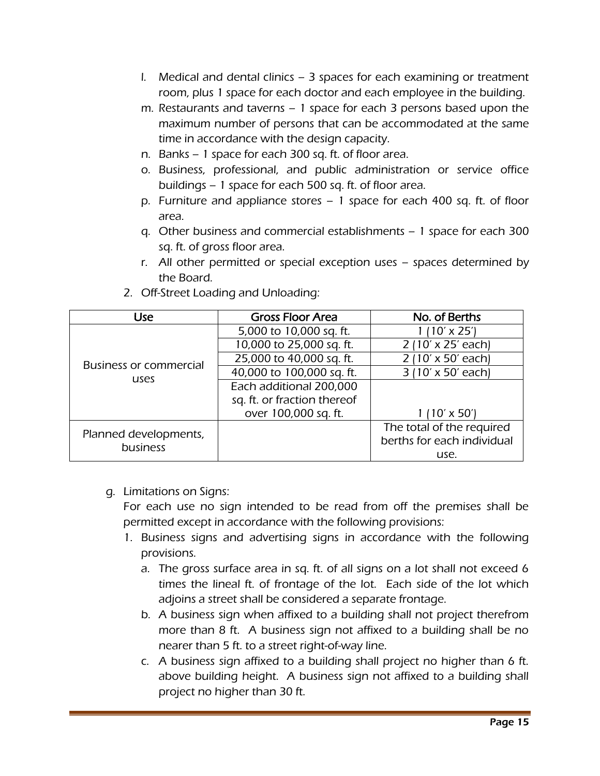- l. Medical and dental clinics 3 spaces for each examining or treatment room, plus 1 space for each doctor and each employee in the building.
- m. Restaurants and taverns 1 space for each 3 persons based upon the maximum number of persons that can be accommodated at the same time in accordance with the design capacity.
- n. Banks 1 space for each 300 sq. ft. of floor area.
- o. Business, professional, and public administration or service office buildings – 1 space for each 500 sq. ft. of floor area.
- p. Furniture and appliance stores 1 space for each 400 sq. ft. of floor area.
- q. Other business and commercial establishments 1 space for each 300 sq. ft. of gross floor area.
- r. All other permitted or special exception uses spaces determined by the Board.

| Use                               | <b>Gross Floor Area</b>     | No. of Berths              |
|-----------------------------------|-----------------------------|----------------------------|
|                                   | 5,000 to 10,000 sq. ft.     | $(10' \times 25')$         |
|                                   | 10,000 to 25,000 sq. ft.    | 2 (10' x 25' each)         |
| <b>Business or commercial</b>     | 25,000 to 40,000 sq. ft.    | 2 (10' x 50' each)         |
| uses                              | 40,000 to 100,000 sq. ft.   | 3 (10' x 50' each)         |
|                                   | Each additional 200,000     |                            |
|                                   | sq. ft. or fraction thereof |                            |
|                                   | over 100,000 sq. ft.        | $(10' \times 50')$         |
|                                   |                             | The total of the required  |
| Planned developments,<br>business |                             | berths for each individual |
|                                   |                             | use.                       |

2. Off-Street Loading and Unloading:

## g. Limitations on Signs:

For each use no sign intended to be read from off the premises shall be permitted except in accordance with the following provisions:

- 1. Business signs and advertising signs in accordance with the following provisions.
	- a. The gross surface area in sq. ft. of all signs on a lot shall not exceed 6 times the lineal ft. of frontage of the lot. Each side of the lot which adjoins a street shall be considered a separate frontage.
	- b. A business sign when affixed to a building shall not project therefrom more than 8 ft. A business sign not affixed to a building shall be no nearer than 5 ft. to a street right-of-way line.
	- c. A business sign affixed to a building shall project no higher than 6 ft. above building height. A business sign not affixed to a building shall project no higher than 30 ft.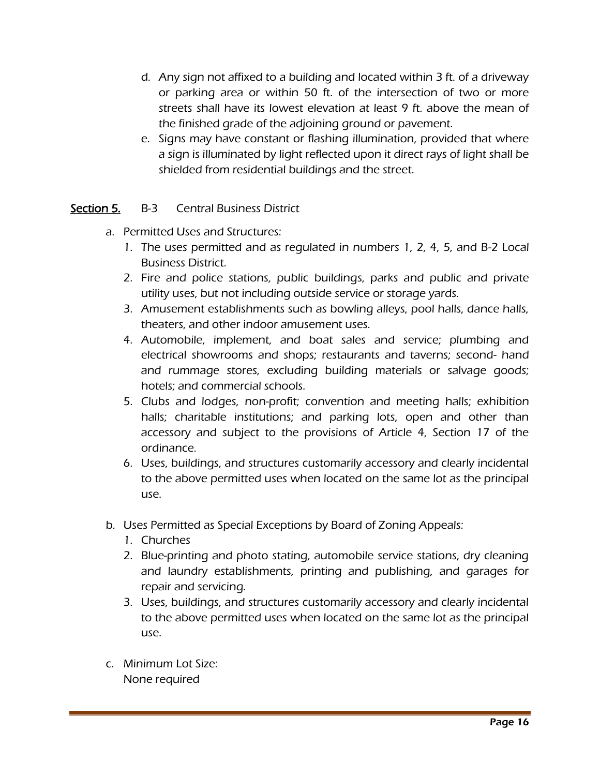- d. Any sign not affixed to a building and located within 3 ft. of a driveway or parking area or within 50 ft. of the intersection of two or more streets shall have its lowest elevation at least 9 ft. above the mean of the finished grade of the adjoining ground or pavement.
- e. Signs may have constant or flashing illumination, provided that where a sign is illuminated by light reflected upon it direct rays of light shall be shielded from residential buildings and the street.

## Section 5. B-3 Central Business District

- a. Permitted Uses and Structures:
	- 1. The uses permitted and as regulated in numbers 1, 2, 4, 5, and B-2 Local Business District.
	- 2. Fire and police stations, public buildings, parks and public and private utility uses, but not including outside service or storage yards.
	- 3. Amusement establishments such as bowling alleys, pool halls, dance halls, theaters, and other indoor amusement uses.
	- 4. Automobile, implement, and boat sales and service; plumbing and electrical showrooms and shops; restaurants and taverns; second- hand and rummage stores, excluding building materials or salvage goods; hotels; and commercial schools.
	- 5. Clubs and lodges, non-profit; convention and meeting halls; exhibition halls; charitable institutions; and parking lots, open and other than accessory and subject to the provisions of Article 4, Section 17 of the ordinance.
	- 6. Uses, buildings, and structures customarily accessory and clearly incidental to the above permitted uses when located on the same lot as the principal use.
- b. Uses Permitted as Special Exceptions by Board of Zoning Appeals:
	- 1. Churches
	- 2. Blue-printing and photo stating, automobile service stations, dry cleaning and laundry establishments, printing and publishing, and garages for repair and servicing.
	- 3. Uses, buildings, and structures customarily accessory and clearly incidental to the above permitted uses when located on the same lot as the principal use.
- c. Minimum Lot Size: None required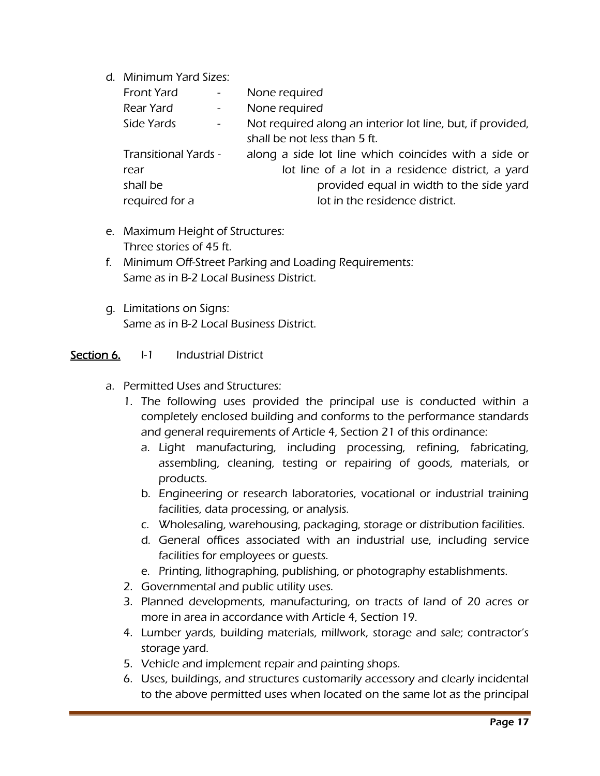d. Minimum Yard Sizes:

| Front Yard                  | $\frac{1}{2}$ and $\frac{1}{2}$ | None required                                              |
|-----------------------------|---------------------------------|------------------------------------------------------------|
| Rear Yard                   | $\omega_{\rm{max}}$             | None required                                              |
| Side Yards                  | $\frac{1}{2}$ and $\frac{1}{2}$ | Not required along an interior lot line, but, if provided, |
|                             |                                 | shall be not less than 5 ft.                               |
| <b>Transitional Yards -</b> |                                 | along a side lot line which coincides with a side or       |
| rear                        |                                 | lot line of a lot in a residence district, a yard          |
| shall be                    |                                 | provided equal in width to the side yard                   |
| required for a              |                                 | lot in the residence district.                             |
|                             |                                 |                                                            |

- e. Maximum Height of Structures: Three stories of 45 ft.
- f. Minimum Off-Street Parking and Loading Requirements: Same as in B-2 Local Business District.
- g. Limitations on Signs: Same as in B-2 Local Business District.

#### Section 6. I-1 Industrial District

- a. Permitted Uses and Structures:
	- 1. The following uses provided the principal use is conducted within a completely enclosed building and conforms to the performance standards and general requirements of Article 4, Section 21 of this ordinance:
		- a. Light manufacturing, including processing, refining, fabricating, assembling, cleaning, testing or repairing of goods, materials, or products.
		- b. Engineering or research laboratories, vocational or industrial training facilities, data processing, or analysis.
		- c. Wholesaling, warehousing, packaging, storage or distribution facilities.
		- d. General offices associated with an industrial use, including service facilities for employees or guests.
		- e. Printing, lithographing, publishing, or photography establishments.
	- 2. Governmental and public utility uses.
	- 3. Planned developments, manufacturing, on tracts of land of 20 acres or more in area in accordance with Article 4, Section 19.
	- 4. Lumber yards, building materials, millwork, storage and sale; contractor's storage yard.
	- 5. Vehicle and implement repair and painting shops.
	- 6. Uses, buildings, and structures customarily accessory and clearly incidental to the above permitted uses when located on the same lot as the principal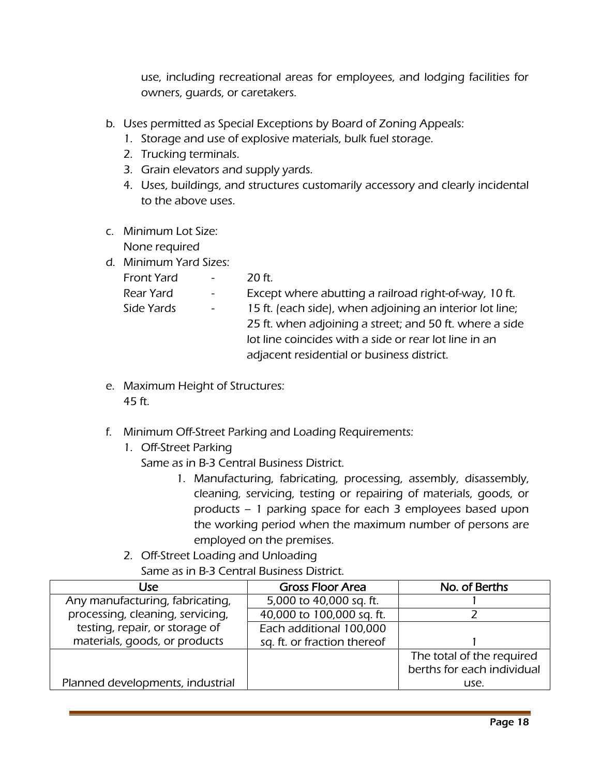use, including recreational areas for employees, and lodging facilities for owners, guards, or caretakers.

- b. Uses permitted as Special Exceptions by Board of Zoning Appeals:
	- 1. Storage and use of explosive materials, bulk fuel storage.
	- 2. Trucking terminals.
	- 3. Grain elevators and supply yards.
	- 4. Uses, buildings, and structures customarily accessory and clearly incidental to the above uses.
- c. Minimum Lot Size: None required
- d. Minimum Yard Sizes:

| $\sim$         | 20 ft.                                                   |
|----------------|----------------------------------------------------------|
| $\blacksquare$ | Except where abutting a railroad right-of-way, 10 ft.    |
| $\blacksquare$ | 15 ft. (each side), when adjoining an interior lot line; |
|                | 25 ft. when adjoining a street; and 50 ft. where a side  |
|                | lot line coincides with a side or rear lot line in an    |
|                | adjacent residential or business district.               |
|                |                                                          |

- e. Maximum Height of Structures: 45 ft.
- f. Minimum Off-Street Parking and Loading Requirements:
	- 1. Off-Street Parking

Same as in B-3 Central Business District.

- 1. Manufacturing, fabricating, processing, assembly, disassembly, cleaning, servicing, testing or repairing of materials, goods, or products – 1 parking space for each 3 employees based upon the working period when the maximum number of persons are employed on the premises.
- 2. Off-Street Loading and Unloading Same as in B-3 Central Business District.

| Use.                             | <b>Gross Floor Area</b>     | No. of Berths              |
|----------------------------------|-----------------------------|----------------------------|
| Any manufacturing, fabricating,  | 5,000 to 40,000 sq. ft.     |                            |
| processing, cleaning, servicing, | 40,000 to 100,000 sq. ft.   |                            |
| testing, repair, or storage of   | Each additional 100,000     |                            |
| materials, goods, or products    | sq. ft. or fraction thereof |                            |
|                                  |                             | The total of the required  |
|                                  |                             | berths for each individual |
| Planned developments, industrial |                             | use.                       |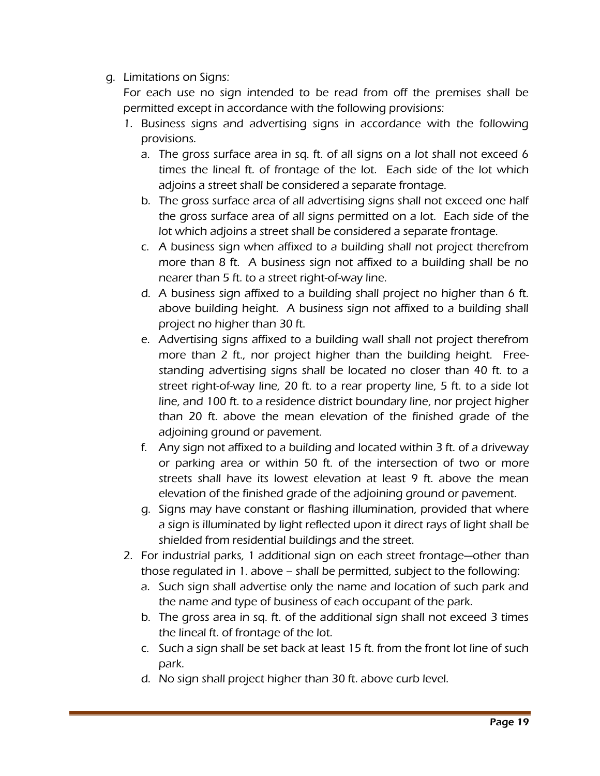## g. Limitations on Signs:

For each use no sign intended to be read from off the premises shall be permitted except in accordance with the following provisions:

- 1. Business signs and advertising signs in accordance with the following provisions.
	- a. The gross surface area in sq. ft. of all signs on a lot shall not exceed 6 times the lineal ft. of frontage of the lot. Each side of the lot which adjoins a street shall be considered a separate frontage.
	- b. The gross surface area of all advertising signs shall not exceed one half the gross surface area of all signs permitted on a lot. Each side of the lot which adjoins a street shall be considered a separate frontage.
	- c. A business sign when affixed to a building shall not project therefrom more than 8 ft. A business sign not affixed to a building shall be no nearer than 5 ft. to a street right-of-way line.
	- d. A business sign affixed to a building shall project no higher than 6 ft. above building height. A business sign not affixed to a building shall project no higher than 30 ft.
	- e. Advertising signs affixed to a building wall shall not project therefrom more than 2 ft., nor project higher than the building height. Freestanding advertising signs shall be located no closer than 40 ft. to a street right-of-way line, 20 ft. to a rear property line, 5 ft. to a side lot line, and 100 ft. to a residence district boundary line, nor project higher than 20 ft. above the mean elevation of the finished grade of the adjoining ground or pavement.
	- f. Any sign not affixed to a building and located within 3 ft. of a driveway or parking area or within 50 ft. of the intersection of two or more streets shall have its lowest elevation at least 9 ft. above the mean elevation of the finished grade of the adjoining ground or pavement.
	- g. Signs may have constant or flashing illumination, provided that where a sign is illuminated by light reflected upon it direct rays of light shall be shielded from residential buildings and the street.
- 2. For industrial parks, 1 additional sign on each street frontage—other than those regulated in 1. above – shall be permitted, subject to the following:
	- a. Such sign shall advertise only the name and location of such park and the name and type of business of each occupant of the park.
	- b. The gross area in sq. ft. of the additional sign shall not exceed 3 times the lineal ft. of frontage of the lot.
	- c. Such a sign shall be set back at least 15 ft. from the front lot line of such park.
	- d. No sign shall project higher than 30 ft. above curb level.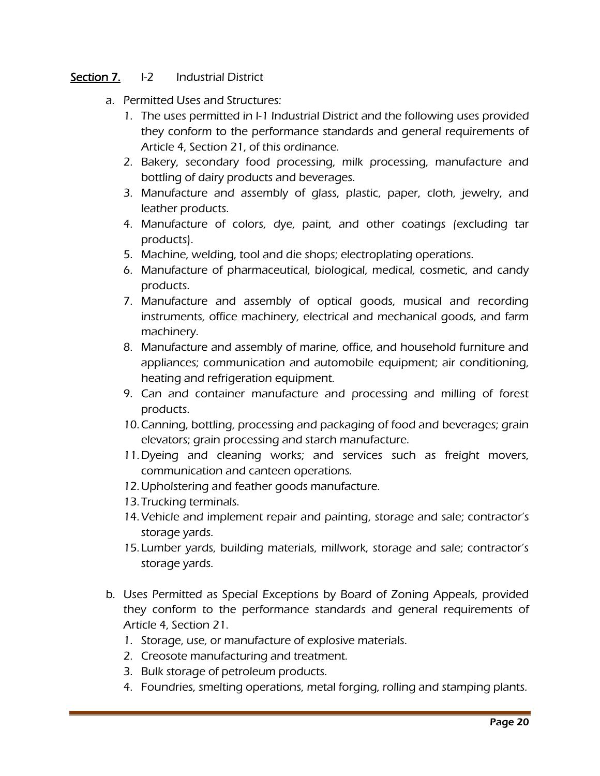#### Section 7. I-2 Industrial District

- a. Permitted Uses and Structures:
	- 1. The uses permitted in I-1 Industrial District and the following uses provided they conform to the performance standards and general requirements of Article 4, Section 21, of this ordinance.
	- 2. Bakery, secondary food processing, milk processing, manufacture and bottling of dairy products and beverages.
	- 3. Manufacture and assembly of glass, plastic, paper, cloth, jewelry, and leather products.
	- 4. Manufacture of colors, dye, paint, and other coatings (excluding tar products).
	- 5. Machine, welding, tool and die shops; electroplating operations.
	- 6. Manufacture of pharmaceutical, biological, medical, cosmetic, and candy products.
	- 7. Manufacture and assembly of optical goods, musical and recording instruments, office machinery, electrical and mechanical goods, and farm machinery.
	- 8. Manufacture and assembly of marine, office, and household furniture and appliances; communication and automobile equipment; air conditioning, heating and refrigeration equipment.
	- 9. Can and container manufacture and processing and milling of forest products.
	- 10.Canning, bottling, processing and packaging of food and beverages; grain elevators; grain processing and starch manufacture.
	- 11.Dyeing and cleaning works; and services such as freight movers, communication and canteen operations.
	- 12.Upholstering and feather goods manufacture.
	- 13. Trucking terminals.
	- 14.Vehicle and implement repair and painting, storage and sale; contractor's storage yards.
	- 15. Lumber yards, building materials, millwork, storage and sale; contractor's storage yards.
- b. Uses Permitted as Special Exceptions by Board of Zoning Appeals, provided they conform to the performance standards and general requirements of Article 4, Section 21.
	- 1. Storage, use, or manufacture of explosive materials.
	- 2. Creosote manufacturing and treatment.
	- 3. Bulk storage of petroleum products.
	- 4. Foundries, smelting operations, metal forging, rolling and stamping plants.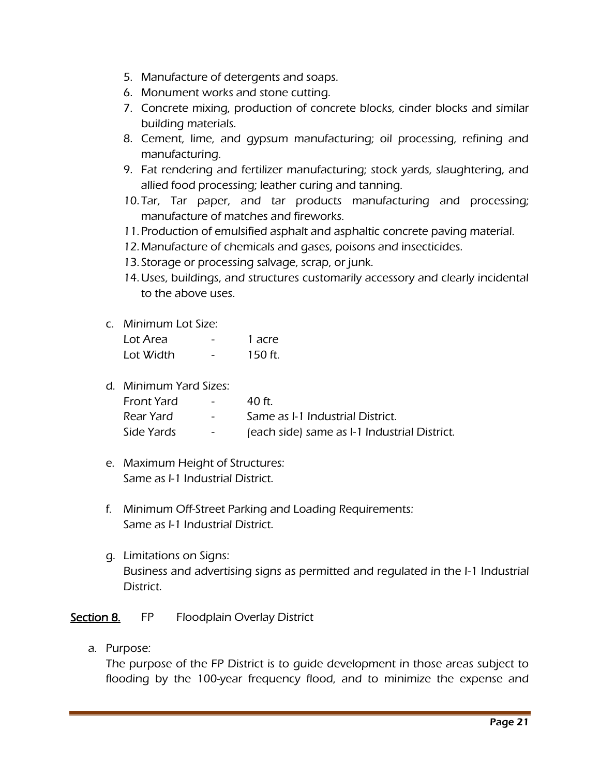- 5. Manufacture of detergents and soaps.
- 6. Monument works and stone cutting.
- 7. Concrete mixing, production of concrete blocks, cinder blocks and similar building materials.
- 8. Cement, lime, and gypsum manufacturing; oil processing, refining and manufacturing.
- 9. Fat rendering and fertilizer manufacturing; stock yards, slaughtering, and allied food processing; leather curing and tanning.
- 10. Tar, Tar paper, and tar products manufacturing and processing; manufacture of matches and fireworks.
- 11.Production of emulsified asphalt and asphaltic concrete paving material.
- 12.Manufacture of chemicals and gases, poisons and insecticides.
- 13. Storage or processing salvage, scrap, or junk.
- 14.Uses, buildings, and structures customarily accessory and clearly incidental to the above uses.

#### c. Minimum Lot Size:

| Lot Area  | - | 1 acre  |
|-----------|---|---------|
| Lot Width |   | 150 ft. |

d. Minimum Yard Sizes:

| Front Yard | $\sim$          | 40 ft                                        |
|------------|-----------------|----------------------------------------------|
| Rear Yard  | $\sim$ 10 $\pm$ | Same as I-1 Industrial District.             |
| Side Yards | $\sim 100$      | (each side) same as I-1 Industrial District. |

- e. Maximum Height of Structures: Same as I-1 Industrial District.
- f. Minimum Off-Street Parking and Loading Requirements: Same as I-1 Industrial District.
- g. Limitations on Signs: Business and advertising signs as permitted and regulated in the I-1 Industrial District.

## Section 8. FP Floodplain Overlay District

a. Purpose:

The purpose of the FP District is to guide development in those areas subject to flooding by the 100-year frequency flood, and to minimize the expense and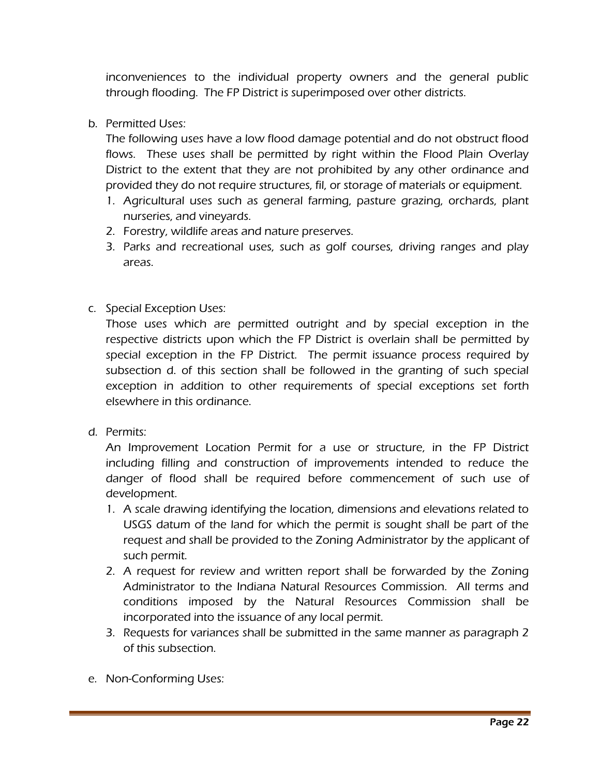inconveniences to the individual property owners and the general public through flooding. The FP District is superimposed over other districts.

b. Permitted Uses:

The following uses have a low flood damage potential and do not obstruct flood flows. These uses shall be permitted by right within the Flood Plain Overlay District to the extent that they are not prohibited by any other ordinance and provided they do not require structures, fil, or storage of materials or equipment.

- 1. Agricultural uses such as general farming, pasture grazing, orchards, plant nurseries, and vineyards.
- 2. Forestry, wildlife areas and nature preserves.
- 3. Parks and recreational uses, such as golf courses, driving ranges and play areas.
- c. Special Exception Uses:

Those uses which are permitted outright and by special exception in the respective districts upon which the FP District is overlain shall be permitted by special exception in the FP District. The permit issuance process required by subsection d. of this section shall be followed in the granting of such special exception in addition to other requirements of special exceptions set forth elsewhere in this ordinance.

d. Permits:

An Improvement Location Permit for a use or structure, in the FP District including filling and construction of improvements intended to reduce the danger of flood shall be required before commencement of such use of development.

- 1. A scale drawing identifying the location, dimensions and elevations related to USGS datum of the land for which the permit is sought shall be part of the request and shall be provided to the Zoning Administrator by the applicant of such permit.
- 2. A request for review and written report shall be forwarded by the Zoning Administrator to the Indiana Natural Resources Commission. All terms and conditions imposed by the Natural Resources Commission shall be incorporated into the issuance of any local permit.
- 3. Requests for variances shall be submitted in the same manner as paragraph 2 of this subsection.
- e. Non-Conforming Uses: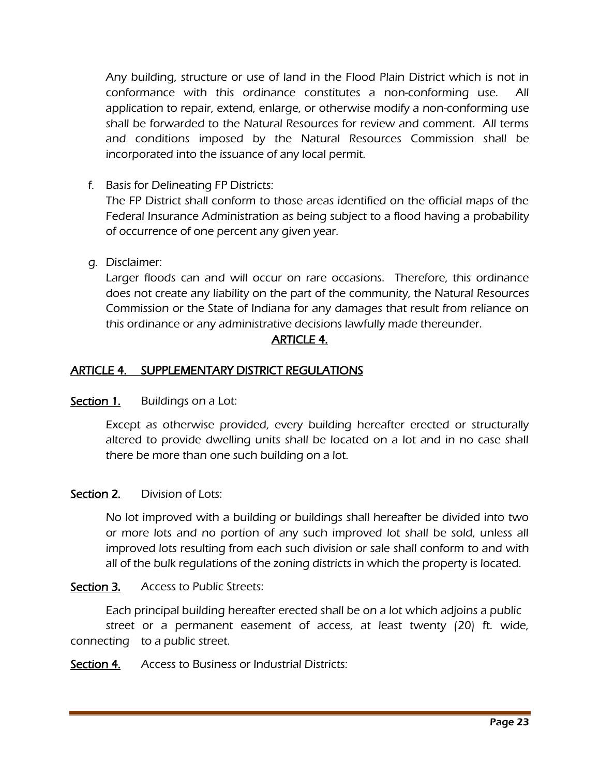Any building, structure or use of land in the Flood Plain District which is not in conformance with this ordinance constitutes a non-conforming use. All application to repair, extend, enlarge, or otherwise modify a non-conforming use shall be forwarded to the Natural Resources for review and comment. All terms and conditions imposed by the Natural Resources Commission shall be incorporated into the issuance of any local permit.

f. Basis for Delineating FP Districts:

The FP District shall conform to those areas identified on the official maps of the Federal Insurance Administration as being subject to a flood having a probability of occurrence of one percent any given year.

g. Disclaimer:

Larger floods can and will occur on rare occasions. Therefore, this ordinance does not create any liability on the part of the community, the Natural Resources Commission or the State of Indiana for any damages that result from reliance on this ordinance or any administrative decisions lawfully made thereunder.

# ARTICLE 4.

## ARTICLE 4. SUPPLEMENTARY DISTRICT REGULATIONS

#### Section 1. Buildings on a Lot:

Except as otherwise provided, every building hereafter erected or structurally altered to provide dwelling units shall be located on a lot and in no case shall there be more than one such building on a lot.

## Section 2. Division of Lots:

No lot improved with a building or buildings shall hereafter be divided into two or more lots and no portion of any such improved lot shall be sold, unless all improved lots resulting from each such division or sale shall conform to and with all of the bulk regulations of the zoning districts in which the property is located.

## Section 3. Access to Public Streets:

Each principal building hereafter erected shall be on a lot which adjoins a public street or a permanent easement of access, at least twenty (20) ft. wide, connecting to a public street.

Section 4. Access to Business or Industrial Districts: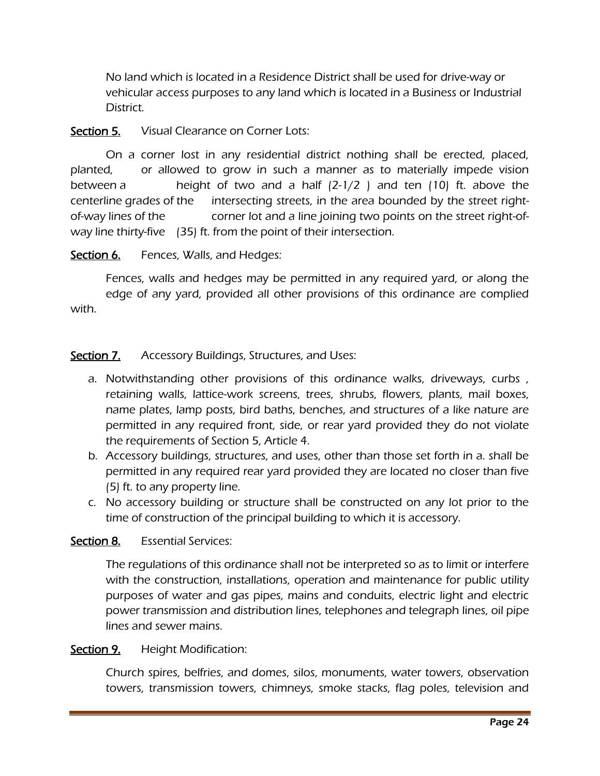No land which is located in a Residence District shall be used for drive-way or vehicular access purposes to any land which is located in a Business or Industrial District.

# Section 5. Visual Clearance on Corner Lots:

On a corner lost in any residential district nothing shall be erected, placed, planted, or allowed to grow in such a manner as to materially impede vision between a **height of two and a half (2-1/2)** and ten (10) ft. above the centerline grades of the intersecting streets, in the area bounded by the street rightof-way lines of the corner lot and a line joining two points on the street right-ofway line thirty-five (35) ft. from the point of their intersection.

Section 6. Fences, Walls, and Hedges:

Fences, walls and hedges may be permitted in any required yard, or along the edge of any yard, provided all other provisions of this ordinance are complied with.

# Section 7. Accessory Buildings, Structures, and Uses:

- a. Notwithstanding other provisions of this ordinance walks, driveways, curbs , retaining walls, lattice-work screens, trees, shrubs, flowers, plants, mail boxes, name plates, lamp posts, bird baths, benches, and structures of a like nature are permitted in any required front, side, or rear yard provided they do not violate the requirements of Section 5, Article 4.
- b. Accessory buildings, structures, and uses, other than those set forth in a. shall be permitted in any required rear yard provided they are located no closer than five (5) ft. to any property line.
- c. No accessory building or structure shall be constructed on any lot prior to the time of construction of the principal building to which it is accessory.

## Section 8. Essential Services:

The regulations of this ordinance shall not be interpreted so as to limit or interfere with the construction, installations, operation and maintenance for public utility purposes of water and gas pipes, mains and conduits, electric light and electric power transmission and distribution lines, telephones and telegraph lines, oil pipe lines and sewer mains.

#### Section 9. Height Modification:

Church spires, belfries, and domes, silos, monuments, water towers, observation towers, transmission towers, chimneys, smoke stacks, flag poles, television and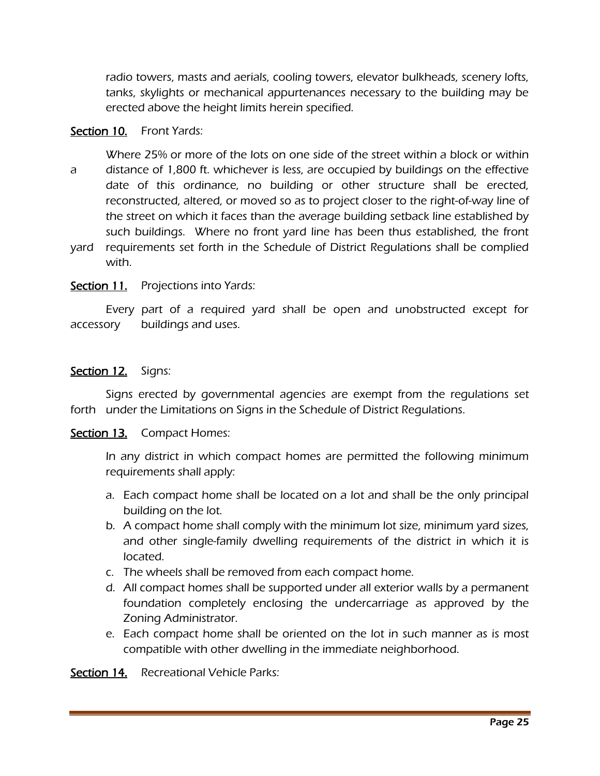radio towers, masts and aerials, cooling towers, elevator bulkheads, scenery lofts, tanks, skylights or mechanical appurtenances necessary to the building may be erected above the height limits herein specified.

#### Section 10. Front Yards:

Where 25% or more of the lots on one side of the street within a block or within a distance of 1,800 ft. whichever is less, are occupied by buildings on the effective date of this ordinance, no building or other structure shall be erected, reconstructed, altered, or moved so as to project closer to the right-of-way line of the street on which it faces than the average building setback line established by such buildings. Where no front yard line has been thus established, the front

yard requirements set forth in the Schedule of District Regulations shall be complied with.

#### Section 11. Projections into Yards:

Every part of a required yard shall be open and unobstructed except for accessory buildings and uses.

#### Section 12. Signs:

Signs erected by governmental agencies are exempt from the regulations set forth under the Limitations on Signs in the Schedule of District Regulations.

#### Section 13. Compact Homes:

In any district in which compact homes are permitted the following minimum requirements shall apply:

- a. Each compact home shall be located on a lot and shall be the only principal building on the lot.
- b. A compact home shall comply with the minimum lot size, minimum yard sizes, and other single-family dwelling requirements of the district in which it is located.
- c. The wheels shall be removed from each compact home.
- d. All compact homes shall be supported under all exterior walls by a permanent foundation completely enclosing the undercarriage as approved by the Zoning Administrator.
- e. Each compact home shall be oriented on the lot in such manner as is most compatible with other dwelling in the immediate neighborhood.

Section 14. Recreational Vehicle Parks: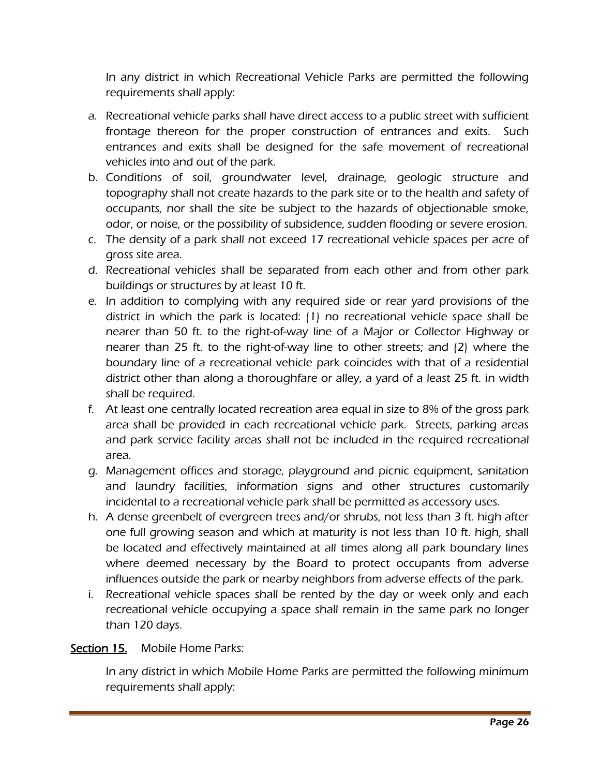In any district in which Recreational Vehicle Parks are permitted the following requirements shall apply:

- a. Recreational vehicle parks shall have direct access to a public street with sufficient frontage thereon for the proper construction of entrances and exits. Such entrances and exits shall be designed for the safe movement of recreational vehicles into and out of the park.
- b. Conditions of soil, groundwater level, drainage, geologic structure and topography shall not create hazards to the park site or to the health and safety of occupants, nor shall the site be subject to the hazards of objectionable smoke, odor, or noise, or the possibility of subsidence, sudden flooding or severe erosion.
- c. The density of a park shall not exceed 17 recreational vehicle spaces per acre of gross site area.
- d. Recreational vehicles shall be separated from each other and from other park buildings or structures by at least 10 ft.
- e. In addition to complying with any required side or rear yard provisions of the district in which the park is located: (1) no recreational vehicle space shall be nearer than 50 ft. to the right-of-way line of a Major or Collector Highway or nearer than 25 ft. to the right-of-way line to other streets; and (2) where the boundary line of a recreational vehicle park coincides with that of a residential district other than along a thoroughfare or alley, a yard of a least 25 ft. in width shall be required.
- f. At least one centrally located recreation area equal in size to 8% of the gross park area shall be provided in each recreational vehicle park. Streets, parking areas and park service facility areas shall not be included in the required recreational area.
- g. Management offices and storage, playground and picnic equipment, sanitation and laundry facilities, information signs and other structures customarily incidental to a recreational vehicle park shall be permitted as accessory uses.
- h. A dense greenbelt of evergreen trees and/or shrubs, not less than 3 ft. high after one full growing season and which at maturity is not less than 10 ft. high, shall be located and effectively maintained at all times along all park boundary lines where deemed necessary by the Board to protect occupants from adverse influences outside the park or nearby neighbors from adverse effects of the park.
- i. Recreational vehicle spaces shall be rented by the day or week only and each recreational vehicle occupying a space shall remain in the same park no longer than 120 days.

## Section 15. Mobile Home Parks:

In any district in which Mobile Home Parks are permitted the following minimum requirements shall apply: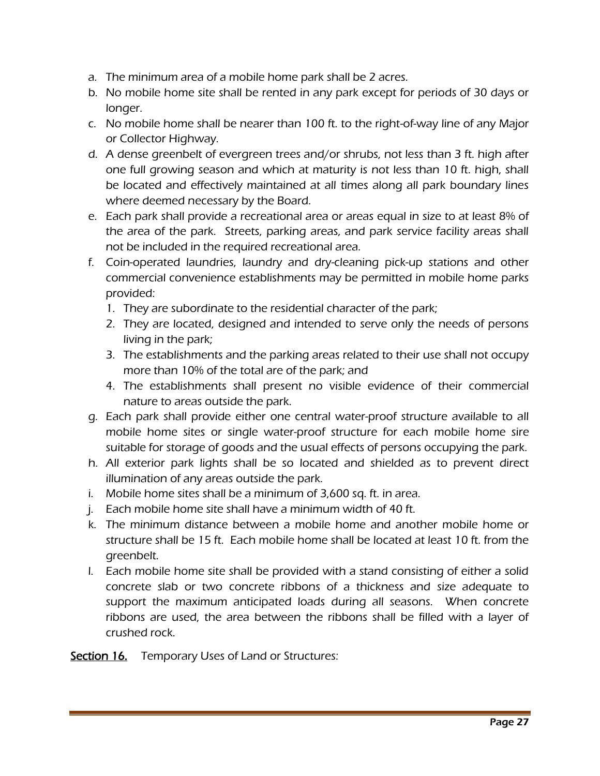- a. The minimum area of a mobile home park shall be 2 acres.
- b. No mobile home site shall be rented in any park except for periods of 30 days or longer.
- c. No mobile home shall be nearer than 100 ft. to the right-of-way line of any Major or Collector Highway.
- d. A dense greenbelt of evergreen trees and/or shrubs, not less than 3 ft. high after one full growing season and which at maturity is not less than 10 ft. high, shall be located and effectively maintained at all times along all park boundary lines where deemed necessary by the Board.
- e. Each park shall provide a recreational area or areas equal in size to at least 8% of the area of the park. Streets, parking areas, and park service facility areas shall not be included in the required recreational area.
- f. Coin-operated laundries, laundry and dry-cleaning pick-up stations and other commercial convenience establishments may be permitted in mobile home parks provided:
	- 1. They are subordinate to the residential character of the park;
	- 2. They are located, designed and intended to serve only the needs of persons living in the park;
	- 3. The establishments and the parking areas related to their use shall not occupy more than 10% of the total are of the park; and
	- 4. The establishments shall present no visible evidence of their commercial nature to areas outside the park.
- g. Each park shall provide either one central water-proof structure available to all mobile home sites or single water-proof structure for each mobile home sire suitable for storage of goods and the usual effects of persons occupying the park.
- h. All exterior park lights shall be so located and shielded as to prevent direct illumination of any areas outside the park.
- i. Mobile home sites shall be a minimum of 3,600 sq. ft. in area.
- j. Each mobile home site shall have a minimum width of 40 ft.
- k. The minimum distance between a mobile home and another mobile home or structure shall be 15 ft. Each mobile home shall be located at least 10 ft. from the greenbelt.
- l. Each mobile home site shall be provided with a stand consisting of either a solid concrete slab or two concrete ribbons of a thickness and size adequate to support the maximum anticipated loads during all seasons. When concrete ribbons are used, the area between the ribbons shall be filled with a layer of crushed rock.

## Section 16. Temporary Uses of Land or Structures: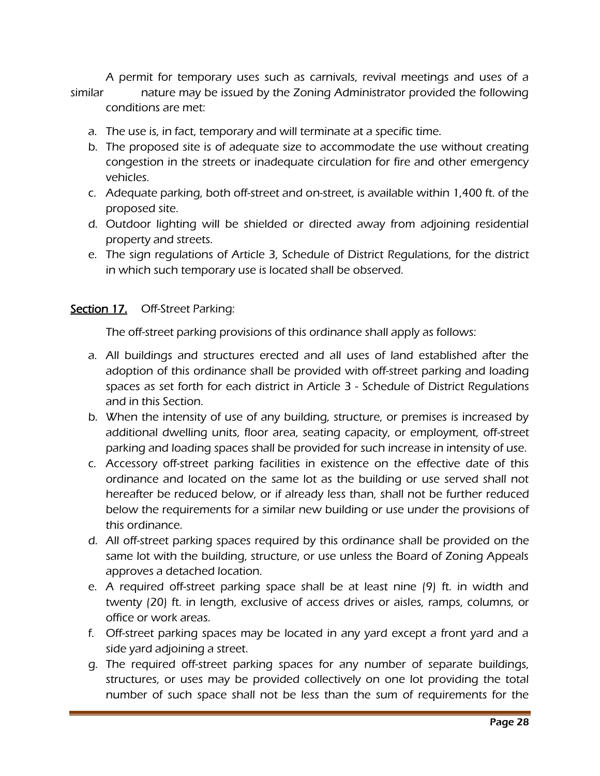A permit for temporary uses such as carnivals, revival meetings and uses of a similar nature may be issued by the Zoning Administrator provided the following

- conditions are met:
- a. The use is, in fact, temporary and will terminate at a specific time.
- b. The proposed site is of adequate size to accommodate the use without creating congestion in the streets or inadequate circulation for fire and other emergency vehicles.
- c. Adequate parking, both off-street and on-street, is available within 1,400 ft. of the proposed site.
- d. Outdoor lighting will be shielded or directed away from adjoining residential property and streets.
- e. The sign regulations of Article 3, Schedule of District Regulations, for the district in which such temporary use is located shall be observed.

## Section 17. Off-Street Parking:

The off-street parking provisions of this ordinance shall apply as follows:

- a. All buildings and structures erected and all uses of land established after the adoption of this ordinance shall be provided with off-street parking and loading spaces as set forth for each district in Article 3 - Schedule of District Regulations and in this Section.
- b. When the intensity of use of any building, structure, or premises is increased by additional dwelling units, floor area, seating capacity, or employment, off-street parking and loading spaces shall be provided for such increase in intensity of use.
- c. Accessory off-street parking facilities in existence on the effective date of this ordinance and located on the same lot as the building or use served shall not hereafter be reduced below, or if already less than, shall not be further reduced below the requirements for a similar new building or use under the provisions of this ordinance.
- d. All off-street parking spaces required by this ordinance shall be provided on the same lot with the building, structure, or use unless the Board of Zoning Appeals approves a detached location.
- e. A required off-street parking space shall be at least nine (9) ft. in width and twenty (20) ft. in length, exclusive of access drives or aisles, ramps, columns, or office or work areas.
- f. Off-street parking spaces may be located in any yard except a front yard and a side yard adjoining a street.
- g. The required off-street parking spaces for any number of separate buildings, structures, or uses may be provided collectively on one lot providing the total number of such space shall not be less than the sum of requirements for the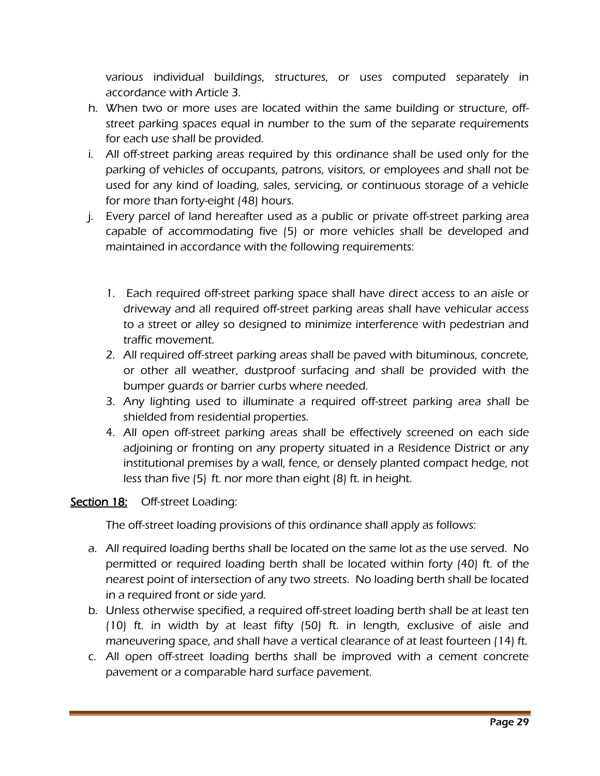various individual buildings, structures, or uses computed separately in accordance with Article 3.

- h. When two or more uses are located within the same building or structure, offstreet parking spaces equal in number to the sum of the separate requirements for each use shall be provided.
- i. All off-street parking areas required by this ordinance shall be used only for the parking of vehicles of occupants, patrons, visitors, or employees and shall not be used for any kind of loading, sales, servicing, or continuous storage of a vehicle for more than forty-eight (48) hours.
- j. Every parcel of land hereafter used as a public or private off-street parking area capable of accommodating five (5) or more vehicles shall be developed and maintained in accordance with the following requirements:
	- 1. Each required off-street parking space shall have direct access to an aisle or driveway and all required off-street parking areas shall have vehicular access to a street or alley so designed to minimize interference with pedestrian and traffic movement.
	- 2. All required off-street parking areas shall be paved with bituminous, concrete, or other all weather, dustproof surfacing and shall be provided with the bumper guards or barrier curbs where needed.
	- 3. Any lighting used to illuminate a required off-street parking area shall be shielded from residential properties.
	- 4. All open off-street parking areas shall be effectively screened on each side adjoining or fronting on any property situated in a Residence District or any institutional premises by a wall, fence, or densely planted compact hedge, not less than five (5) ft. nor more than eight (8) ft. in height.

## Section 18: Off-street Loading:

The off-street loading provisions of this ordinance shall apply as follows:

- a. All required loading berths shall be located on the same lot as the use served. No permitted or required loading berth shall be located within forty (40) ft. of the nearest point of intersection of any two streets. No loading berth shall be located in a required front or side yard.
- b. Unless otherwise specified, a required off-street loading berth shall be at least ten (10) ft. in width by at least fifty (50) ft. in length, exclusive of aisle and maneuvering space, and shall have a vertical clearance of at least fourteen (14) ft.
- c. All open off-street loading berths shall be improved with a cement concrete pavement or a comparable hard surface pavement.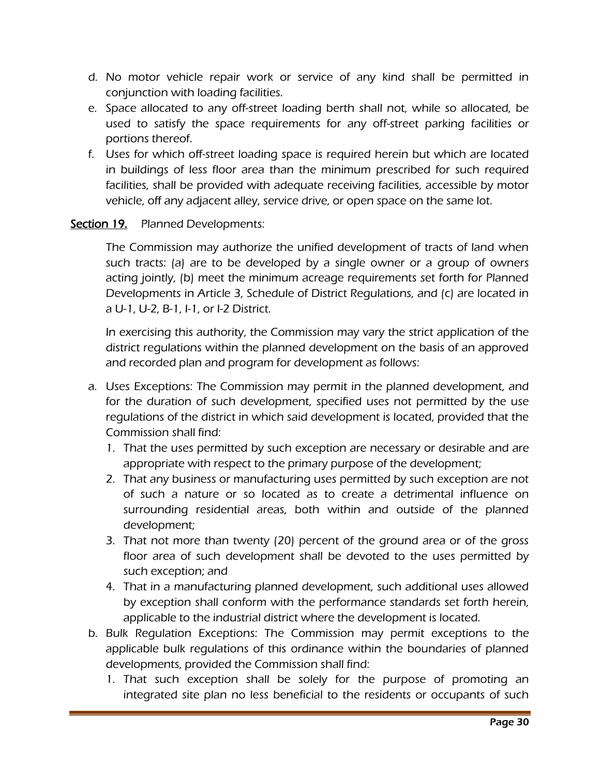- d. No motor vehicle repair work or service of any kind shall be permitted in conjunction with loading facilities.
- e. Space allocated to any off-street loading berth shall not, while so allocated, be used to satisfy the space requirements for any off-street parking facilities or portions thereof.
- f. Uses for which off-street loading space is required herein but which are located in buildings of less floor area than the minimum prescribed for such required facilities, shall be provided with adequate receiving facilities, accessible by motor vehicle, off any adjacent alley, service drive, or open space on the same lot.

# Section 19. Planned Developments:

The Commission may authorize the unified development of tracts of land when such tracts: (a) are to be developed by a single owner or a group of owners acting jointly, (b) meet the minimum acreage requirements set forth for Planned Developments in Article 3, Schedule of District Regulations, and (c) are located in a U-1, U-2, B-1, I-1, or I-2 District.

In exercising this authority, the Commission may vary the strict application of the district regulations within the planned development on the basis of an approved and recorded plan and program for development as follows:

- a. Uses Exceptions: The Commission may permit in the planned development, and for the duration of such development, specified uses not permitted by the use regulations of the district in which said development is located, provided that the Commission shall find:
	- 1. That the uses permitted by such exception are necessary or desirable and are appropriate with respect to the primary purpose of the development;
	- 2. That any business or manufacturing uses permitted by such exception are not of such a nature or so located as to create a detrimental influence on surrounding residential areas, both within and outside of the planned development;
	- 3. That not more than twenty (20) percent of the ground area or of the gross floor area of such development shall be devoted to the uses permitted by such exception; and
	- 4. That in a manufacturing planned development, such additional uses allowed by exception shall conform with the performance standards set forth herein, applicable to the industrial district where the development is located.
- b. Bulk Regulation Exceptions: The Commission may permit exceptions to the applicable bulk regulations of this ordinance within the boundaries of planned developments, provided the Commission shall find:
	- 1. That such exception shall be solely for the purpose of promoting an integrated site plan no less beneficial to the residents or occupants of such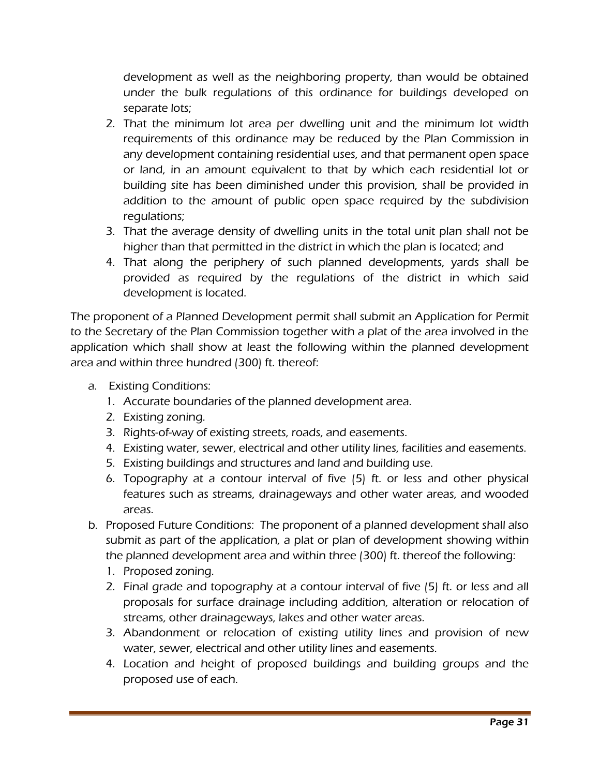development as well as the neighboring property, than would be obtained under the bulk regulations of this ordinance for buildings developed on separate lots;

- 2. That the minimum lot area per dwelling unit and the minimum lot width requirements of this ordinance may be reduced by the Plan Commission in any development containing residential uses, and that permanent open space or land, in an amount equivalent to that by which each residential lot or building site has been diminished under this provision, shall be provided in addition to the amount of public open space required by the subdivision regulations;
- 3. That the average density of dwelling units in the total unit plan shall not be higher than that permitted in the district in which the plan is located; and
- 4. That along the periphery of such planned developments, yards shall be provided as required by the regulations of the district in which said development is located.

The proponent of a Planned Development permit shall submit an Application for Permit to the Secretary of the Plan Commission together with a plat of the area involved in the application which shall show at least the following within the planned development area and within three hundred (300) ft. thereof:

- a. Existing Conditions:
	- 1. Accurate boundaries of the planned development area.
	- 2. Existing zoning.
	- 3. Rights-of-way of existing streets, roads, and easements.
	- 4. Existing water, sewer, electrical and other utility lines, facilities and easements.
	- 5. Existing buildings and structures and land and building use.
	- 6. Topography at a contour interval of five (5) ft. or less and other physical features such as streams, drainageways and other water areas, and wooded areas.
- b. Proposed Future Conditions: The proponent of a planned development shall also submit as part of the application, a plat or plan of development showing within the planned development area and within three (300) ft. thereof the following:
	- 1. Proposed zoning.
	- 2. Final grade and topography at a contour interval of five (5) ft. or less and all proposals for surface drainage including addition, alteration or relocation of streams, other drainageways, lakes and other water areas.
	- 3. Abandonment or relocation of existing utility lines and provision of new water, sewer, electrical and other utility lines and easements.
	- 4. Location and height of proposed buildings and building groups and the proposed use of each.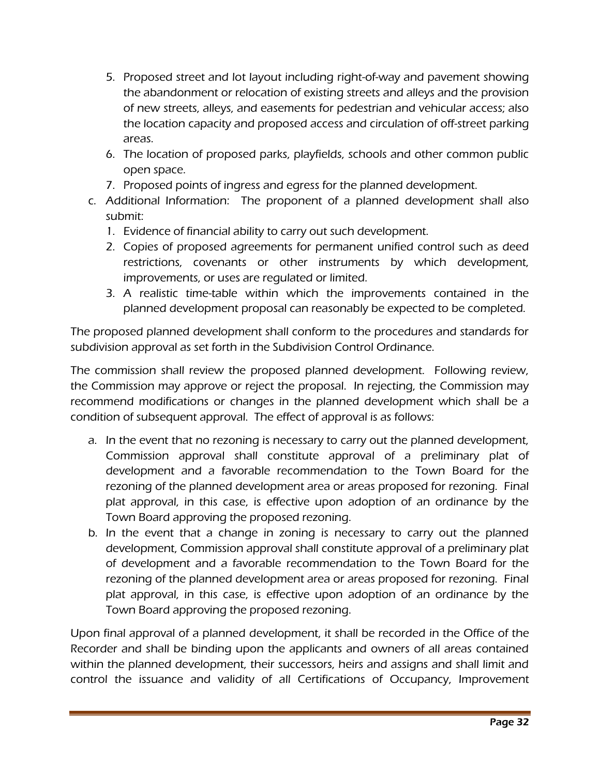- 5. Proposed street and lot layout including right-of-way and pavement showing the abandonment or relocation of existing streets and alleys and the provision of new streets, alleys, and easements for pedestrian and vehicular access; also the location capacity and proposed access and circulation of off-street parking areas.
- 6. The location of proposed parks, playfields, schools and other common public open space.
- 7. Proposed points of ingress and egress for the planned development.
- c. Additional Information: The proponent of a planned development shall also submit:
	- 1. Evidence of financial ability to carry out such development.
	- 2. Copies of proposed agreements for permanent unified control such as deed restrictions, covenants or other instruments by which development, improvements, or uses are regulated or limited.
	- 3. A realistic time-table within which the improvements contained in the planned development proposal can reasonably be expected to be completed.

The proposed planned development shall conform to the procedures and standards for subdivision approval as set forth in the Subdivision Control Ordinance.

The commission shall review the proposed planned development. Following review, the Commission may approve or reject the proposal. In rejecting, the Commission may recommend modifications or changes in the planned development which shall be a condition of subsequent approval. The effect of approval is as follows:

- a. In the event that no rezoning is necessary to carry out the planned development, Commission approval shall constitute approval of a preliminary plat of development and a favorable recommendation to the Town Board for the rezoning of the planned development area or areas proposed for rezoning. Final plat approval, in this case, is effective upon adoption of an ordinance by the Town Board approving the proposed rezoning.
- b. In the event that a change in zoning is necessary to carry out the planned development, Commission approval shall constitute approval of a preliminary plat of development and a favorable recommendation to the Town Board for the rezoning of the planned development area or areas proposed for rezoning. Final plat approval, in this case, is effective upon adoption of an ordinance by the Town Board approving the proposed rezoning.

Upon final approval of a planned development, it shall be recorded in the Office of the Recorder and shall be binding upon the applicants and owners of all areas contained within the planned development, their successors, heirs and assigns and shall limit and control the issuance and validity of all Certifications of Occupancy, Improvement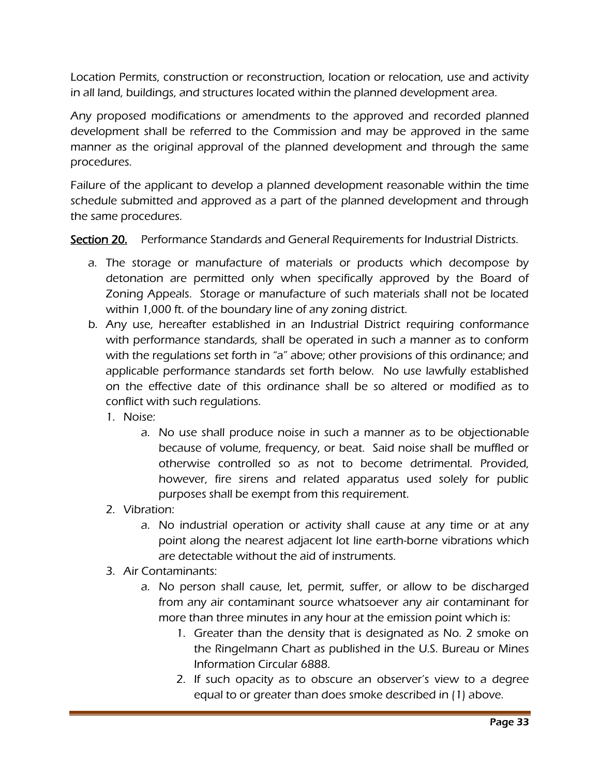Location Permits, construction or reconstruction, location or relocation, use and activity in all land, buildings, and structures located within the planned development area.

Any proposed modifications or amendments to the approved and recorded planned development shall be referred to the Commission and may be approved in the same manner as the original approval of the planned development and through the same procedures.

Failure of the applicant to develop a planned development reasonable within the time schedule submitted and approved as a part of the planned development and through the same procedures.

Section 20. Performance Standards and General Requirements for Industrial Districts.

- a. The storage or manufacture of materials or products which decompose by detonation are permitted only when specifically approved by the Board of Zoning Appeals. Storage or manufacture of such materials shall not be located within 1,000 ft. of the boundary line of any zoning district.
- b. Any use, hereafter established in an Industrial District requiring conformance with performance standards, shall be operated in such a manner as to conform with the regulations set forth in "a" above; other provisions of this ordinance; and applicable performance standards set forth below. No use lawfully established on the effective date of this ordinance shall be so altered or modified as to conflict with such regulations.
	- 1. Noise:
		- a. No use shall produce noise in such a manner as to be objectionable because of volume, frequency, or beat. Said noise shall be muffled or otherwise controlled so as not to become detrimental. Provided, however, fire sirens and related apparatus used solely for public purposes shall be exempt from this requirement.
	- 2. Vibration:
		- a. No industrial operation or activity shall cause at any time or at any point along the nearest adjacent lot line earth-borne vibrations which are detectable without the aid of instruments.
	- 3. Air Contaminants:
		- a. No person shall cause, let, permit, suffer, or allow to be discharged from any air contaminant source whatsoever any air contaminant for more than three minutes in any hour at the emission point which is:
			- 1. Greater than the density that is designated as No. 2 smoke on the Ringelmann Chart as published in the U.S. Bureau or Mines Information Circular 6888.
			- 2. If such opacity as to obscure an observer's view to a degree equal to or greater than does smoke described in (1) above.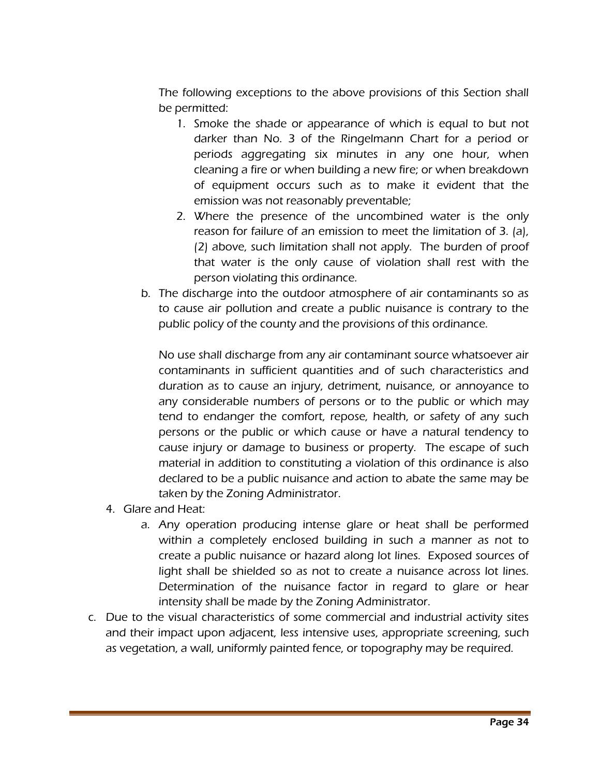The following exceptions to the above provisions of this Section shall be permitted:

- 1. Smoke the shade or appearance of which is equal to but not darker than No. 3 of the Ringelmann Chart for a period or periods aggregating six minutes in any one hour, when cleaning a fire or when building a new fire; or when breakdown of equipment occurs such as to make it evident that the emission was not reasonably preventable;
- 2. Where the presence of the uncombined water is the only reason for failure of an emission to meet the limitation of 3. (a), (2) above, such limitation shall not apply. The burden of proof that water is the only cause of violation shall rest with the person violating this ordinance.
- b. The discharge into the outdoor atmosphere of air contaminants so as to cause air pollution and create a public nuisance is contrary to the public policy of the county and the provisions of this ordinance.

No use shall discharge from any air contaminant source whatsoever air contaminants in sufficient quantities and of such characteristics and duration as to cause an injury, detriment, nuisance, or annoyance to any considerable numbers of persons or to the public or which may tend to endanger the comfort, repose, health, or safety of any such persons or the public or which cause or have a natural tendency to cause injury or damage to business or property. The escape of such material in addition to constituting a violation of this ordinance is also declared to be a public nuisance and action to abate the same may be taken by the Zoning Administrator.

- 4. Glare and Heat:
	- a. Any operation producing intense glare or heat shall be performed within a completely enclosed building in such a manner as not to create a public nuisance or hazard along lot lines. Exposed sources of light shall be shielded so as not to create a nuisance across lot lines. Determination of the nuisance factor in regard to glare or hear intensity shall be made by the Zoning Administrator.
- c. Due to the visual characteristics of some commercial and industrial activity sites and their impact upon adjacent, less intensive uses, appropriate screening, such as vegetation, a wall, uniformly painted fence, or topography may be required.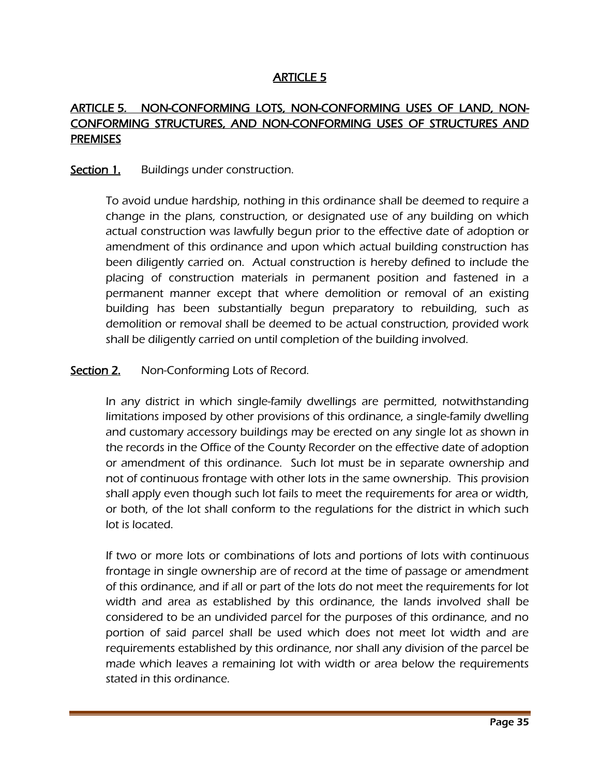## ARTICLE 5

# ARTICLE 5. NON-CONFORMING LOTS, NON-CONFORMING USES OF LAND, NON-CONFORMING STRUCTURES, AND NON-CONFORMING USES OF STRUCTURES AND **PREMISES**

#### Section 1. Buildings under construction.

To avoid undue hardship, nothing in this ordinance shall be deemed to require a change in the plans, construction, or designated use of any building on which actual construction was lawfully begun prior to the effective date of adoption or amendment of this ordinance and upon which actual building construction has been diligently carried on. Actual construction is hereby defined to include the placing of construction materials in permanent position and fastened in a permanent manner except that where demolition or removal of an existing building has been substantially begun preparatory to rebuilding, such as demolition or removal shall be deemed to be actual construction, provided work shall be diligently carried on until completion of the building involved.

#### **Section 2.** Non-Conforming Lots of Record.

In any district in which single-family dwellings are permitted, notwithstanding limitations imposed by other provisions of this ordinance, a single-family dwelling and customary accessory buildings may be erected on any single lot as shown in the records in the Office of the County Recorder on the effective date of adoption or amendment of this ordinance. Such lot must be in separate ownership and not of continuous frontage with other lots in the same ownership. This provision shall apply even though such lot fails to meet the requirements for area or width, or both, of the lot shall conform to the regulations for the district in which such lot is located.

If two or more lots or combinations of lots and portions of lots with continuous frontage in single ownership are of record at the time of passage or amendment of this ordinance, and if all or part of the lots do not meet the requirements for lot width and area as established by this ordinance, the lands involved shall be considered to be an undivided parcel for the purposes of this ordinance, and no portion of said parcel shall be used which does not meet lot width and are requirements established by this ordinance, nor shall any division of the parcel be made which leaves a remaining lot with width or area below the requirements stated in this ordinance.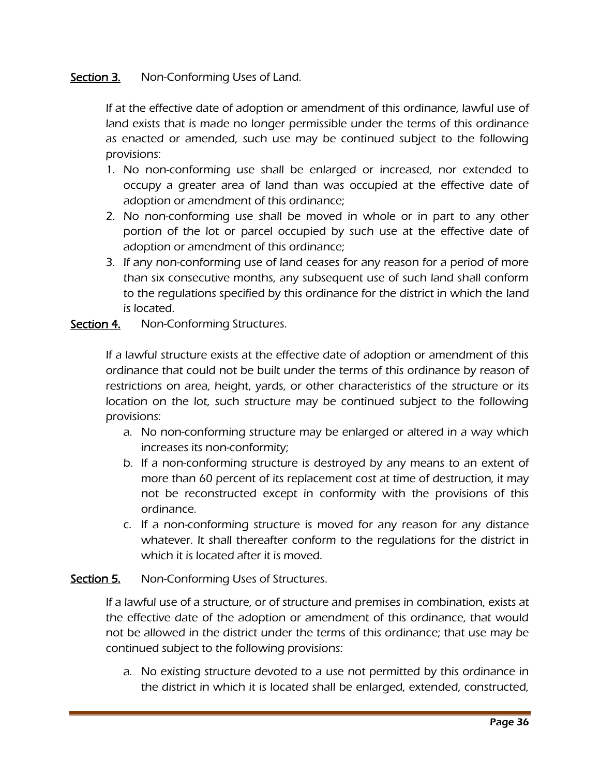## Section 3. Non-Conforming Uses of Land.

If at the effective date of adoption or amendment of this ordinance, lawful use of land exists that is made no longer permissible under the terms of this ordinance as enacted or amended, such use may be continued subject to the following provisions:

- 1. No non-conforming use shall be enlarged or increased, nor extended to occupy a greater area of land than was occupied at the effective date of adoption or amendment of this ordinance;
- 2. No non-conforming use shall be moved in whole or in part to any other portion of the lot or parcel occupied by such use at the effective date of adoption or amendment of this ordinance;
- 3. If any non-conforming use of land ceases for any reason for a period of more than six consecutive months, any subsequent use of such land shall conform to the regulations specified by this ordinance for the district in which the land is located.

Section 4. Non-Conforming Structures.

If a lawful structure exists at the effective date of adoption or amendment of this ordinance that could not be built under the terms of this ordinance by reason of restrictions on area, height, yards, or other characteristics of the structure or its location on the lot, such structure may be continued subject to the following provisions:

- a. No non-conforming structure may be enlarged or altered in a way which increases its non-conformity;
- b. If a non-conforming structure is destroyed by any means to an extent of more than 60 percent of its replacement cost at time of destruction, it may not be reconstructed except in conformity with the provisions of this ordinance.
- c. If a non-conforming structure is moved for any reason for any distance whatever. It shall thereafter conform to the regulations for the district in which it is located after it is moved.

#### Section 5. Non-Conforming Uses of Structures.

If a lawful use of a structure, or of structure and premises in combination, exists at the effective date of the adoption or amendment of this ordinance, that would not be allowed in the district under the terms of this ordinance; that use may be continued subject to the following provisions:

a. No existing structure devoted to a use not permitted by this ordinance in the district in which it is located shall be enlarged, extended, constructed,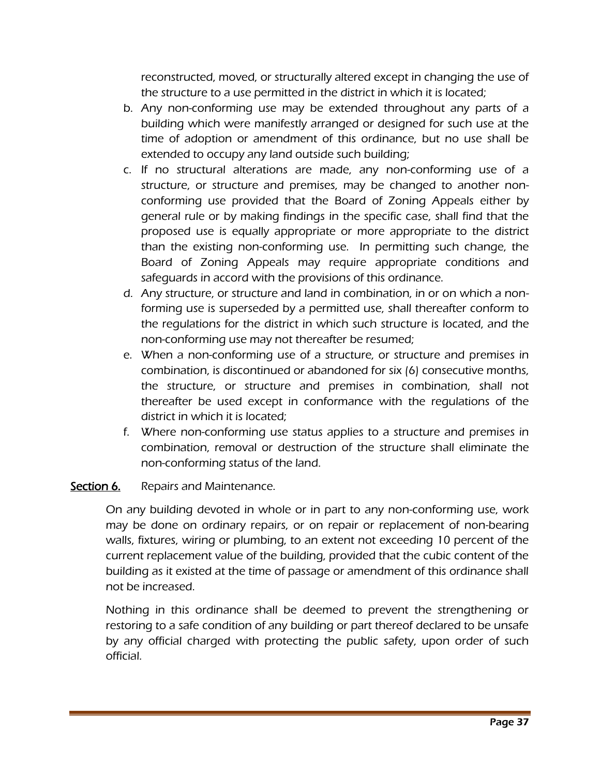reconstructed, moved, or structurally altered except in changing the use of the structure to a use permitted in the district in which it is located;

- b. Any non-conforming use may be extended throughout any parts of a building which were manifestly arranged or designed for such use at the time of adoption or amendment of this ordinance, but no use shall be extended to occupy any land outside such building;
- c. If no structural alterations are made, any non-conforming use of a structure, or structure and premises, may be changed to another nonconforming use provided that the Board of Zoning Appeals either by general rule or by making findings in the specific case, shall find that the proposed use is equally appropriate or more appropriate to the district than the existing non-conforming use. In permitting such change, the Board of Zoning Appeals may require appropriate conditions and safeguards in accord with the provisions of this ordinance.
- d. Any structure, or structure and land in combination, in or on which a nonforming use is superseded by a permitted use, shall thereafter conform to the regulations for the district in which such structure is located, and the non-conforming use may not thereafter be resumed;
- e. When a non-conforming use of a structure, or structure and premises in combination, is discontinued or abandoned for six (6) consecutive months, the structure, or structure and premises in combination, shall not thereafter be used except in conformance with the regulations of the district in which it is located;
- f. Where non-conforming use status applies to a structure and premises in combination, removal or destruction of the structure shall eliminate the non-conforming status of the land.

# Section 6. Repairs and Maintenance.

On any building devoted in whole or in part to any non-conforming use, work may be done on ordinary repairs, or on repair or replacement of non-bearing walls, fixtures, wiring or plumbing, to an extent not exceeding 10 percent of the current replacement value of the building, provided that the cubic content of the building as it existed at the time of passage or amendment of this ordinance shall not be increased.

Nothing in this ordinance shall be deemed to prevent the strengthening or restoring to a safe condition of any building or part thereof declared to be unsafe by any official charged with protecting the public safety, upon order of such official.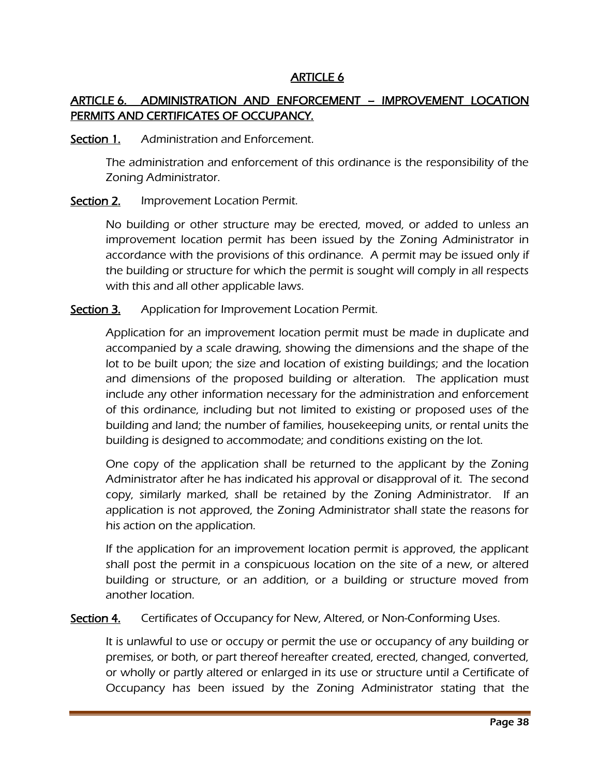## ARTICLE 6

# ARTICLE 6. ADMINISTRATION AND ENFORCEMENT – IMPROVEMENT LOCATION PERMITS AND CERTIFICATES OF OCCUPANCY.

#### Section 1. Administration and Enforcement.

The administration and enforcement of this ordinance is the responsibility of the Zoning Administrator.

#### Section 2. Improvement Location Permit.

No building or other structure may be erected, moved, or added to unless an improvement location permit has been issued by the Zoning Administrator in accordance with the provisions of this ordinance. A permit may be issued only if the building or structure for which the permit is sought will comply in all respects with this and all other applicable laws.

Section 3. Application for Improvement Location Permit.

Application for an improvement location permit must be made in duplicate and accompanied by a scale drawing, showing the dimensions and the shape of the lot to be built upon; the size and location of existing buildings; and the location and dimensions of the proposed building or alteration. The application must include any other information necessary for the administration and enforcement of this ordinance, including but not limited to existing or proposed uses of the building and land; the number of families, housekeeping units, or rental units the building is designed to accommodate; and conditions existing on the lot.

One copy of the application shall be returned to the applicant by the Zoning Administrator after he has indicated his approval or disapproval of it. The second copy, similarly marked, shall be retained by the Zoning Administrator. If an application is not approved, the Zoning Administrator shall state the reasons for his action on the application.

If the application for an improvement location permit is approved, the applicant shall post the permit in a conspicuous location on the site of a new, or altered building or structure, or an addition, or a building or structure moved from another location.

Section 4. Certificates of Occupancy for New, Altered, or Non-Conforming Uses.

It is unlawful to use or occupy or permit the use or occupancy of any building or premises, or both, or part thereof hereafter created, erected, changed, converted, or wholly or partly altered or enlarged in its use or structure until a Certificate of Occupancy has been issued by the Zoning Administrator stating that the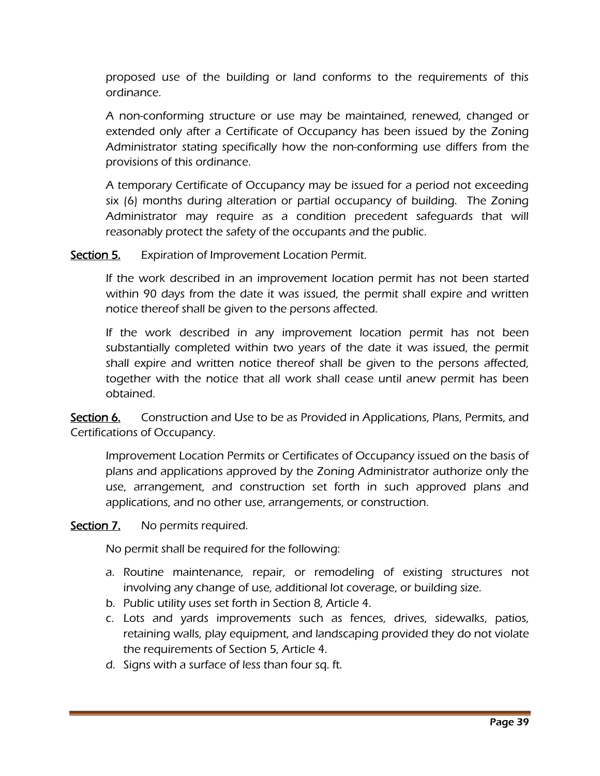proposed use of the building or land conforms to the requirements of this ordinance.

A non-conforming structure or use may be maintained, renewed, changed or extended only after a Certificate of Occupancy has been issued by the Zoning Administrator stating specifically how the non-conforming use differs from the provisions of this ordinance.

A temporary Certificate of Occupancy may be issued for a period not exceeding six (6) months during alteration or partial occupancy of building. The Zoning Administrator may require as a condition precedent safeguards that will reasonably protect the safety of the occupants and the public.

Section 5. Expiration of Improvement Location Permit.

If the work described in an improvement location permit has not been started within 90 days from the date it was issued, the permit shall expire and written notice thereof shall be given to the persons affected.

If the work described in any improvement location permit has not been substantially completed within two years of the date it was issued, the permit shall expire and written notice thereof shall be given to the persons affected, together with the notice that all work shall cease until anew permit has been obtained.

Section 6. Construction and Use to be as Provided in Applications, Plans, Permits, and Certifications of Occupancy.

Improvement Location Permits or Certificates of Occupancy issued on the basis of plans and applications approved by the Zoning Administrator authorize only the use, arrangement, and construction set forth in such approved plans and applications, and no other use, arrangements, or construction.

Section 7. No permits required.

No permit shall be required for the following:

- a. Routine maintenance, repair, or remodeling of existing structures not involving any change of use, additional lot coverage, or building size.
- b. Public utility uses set forth in Section 8, Article 4.
- c. Lots and yards improvements such as fences, drives, sidewalks, patios, retaining walls, play equipment, and landscaping provided they do not violate the requirements of Section 5, Article 4.
- d. Signs with a surface of less than four sq. ft.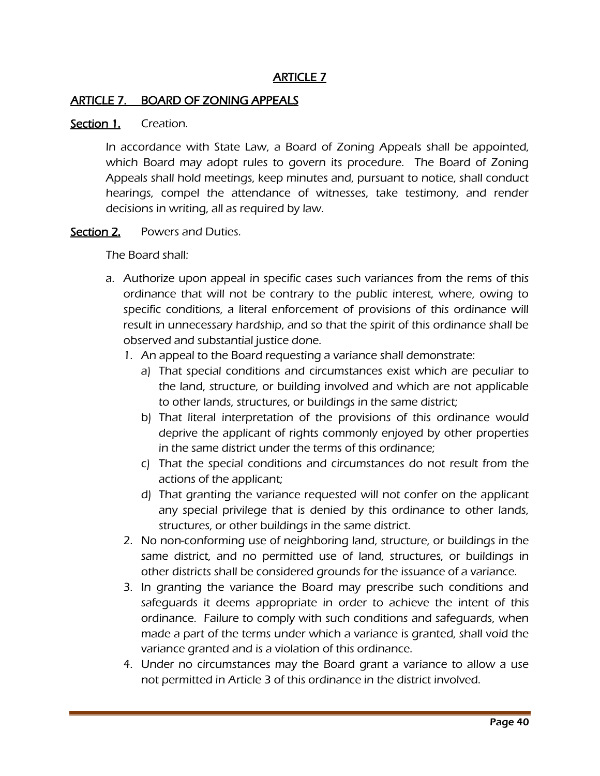#### ARTICLE 7. BOARD OF ZONING APPEALS

#### Section 1. Creation.

In accordance with State Law, a Board of Zoning Appeals shall be appointed, which Board may adopt rules to govern its procedure. The Board of Zoning Appeals shall hold meetings, keep minutes and, pursuant to notice, shall conduct hearings, compel the attendance of witnesses, take testimony, and render decisions in writing, all as required by law.

#### Section 2. Powers and Duties.

The Board shall:

- a. Authorize upon appeal in specific cases such variances from the rems of this ordinance that will not be contrary to the public interest, where, owing to specific conditions, a literal enforcement of provisions of this ordinance will result in unnecessary hardship, and so that the spirit of this ordinance shall be observed and substantial justice done.
	- 1. An appeal to the Board requesting a variance shall demonstrate:
		- a) That special conditions and circumstances exist which are peculiar to the land, structure, or building involved and which are not applicable to other lands, structures, or buildings in the same district;
		- b) That literal interpretation of the provisions of this ordinance would deprive the applicant of rights commonly enjoyed by other properties in the same district under the terms of this ordinance;
		- c) That the special conditions and circumstances do not result from the actions of the applicant;
		- d) That granting the variance requested will not confer on the applicant any special privilege that is denied by this ordinance to other lands, structures, or other buildings in the same district.
	- 2. No non-conforming use of neighboring land, structure, or buildings in the same district, and no permitted use of land, structures, or buildings in other districts shall be considered grounds for the issuance of a variance.
	- 3. In granting the variance the Board may prescribe such conditions and safeguards it deems appropriate in order to achieve the intent of this ordinance. Failure to comply with such conditions and safeguards, when made a part of the terms under which a variance is granted, shall void the variance granted and is a violation of this ordinance.
	- 4. Under no circumstances may the Board grant a variance to allow a use not permitted in Article 3 of this ordinance in the district involved.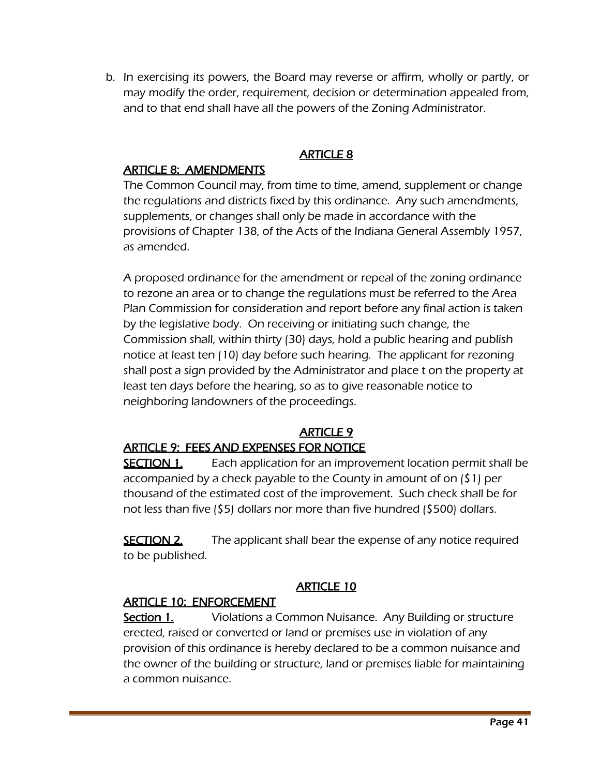b. In exercising its powers, the Board may reverse or affirm, wholly or partly, or may modify the order, requirement, decision or determination appealed from, and to that end shall have all the powers of the Zoning Administrator.

# ARTICLE 8

#### ARTICLE 8: AMENDMENTS

The Common Council may, from time to time, amend, supplement or change the regulations and districts fixed by this ordinance. Any such amendments, supplements, or changes shall only be made in accordance with the provisions of Chapter 138, of the Acts of the Indiana General Assembly 1957, as amended.

A proposed ordinance for the amendment or repeal of the zoning ordinance to rezone an area or to change the regulations must be referred to the Area Plan Commission for consideration and report before any final action is taken by the legislative body. On receiving or initiating such change, the Commission shall, within thirty (30) days, hold a public hearing and publish notice at least ten (10) day before such hearing. The applicant for rezoning shall post a sign provided by the Administrator and place t on the property at least ten days before the hearing, so as to give reasonable notice to neighboring landowners of the proceedings.

# **ARTICLE 9**

## ARTICLE 9: FEES AND EXPENSES FOR NOTICE

**SECTION 1.** Each application for an improvement location permit shall be accompanied by a check payable to the County in amount of on (\$1) per thousand of the estimated cost of the improvement. Such check shall be for not less than five (\$5) dollars nor more than five hundred (\$500) dollars.

**SECTION 2.** The applicant shall bear the expense of any notice required to be published.

# ARTICLE 10

## ARTICLE 10: ENFORCEMENT

**Section 1.** Violations a Common Nuisance. Any Building or structure erected, raised or converted or land or premises use in violation of any provision of this ordinance is hereby declared to be a common nuisance and the owner of the building or structure, land or premises liable for maintaining a common nuisance.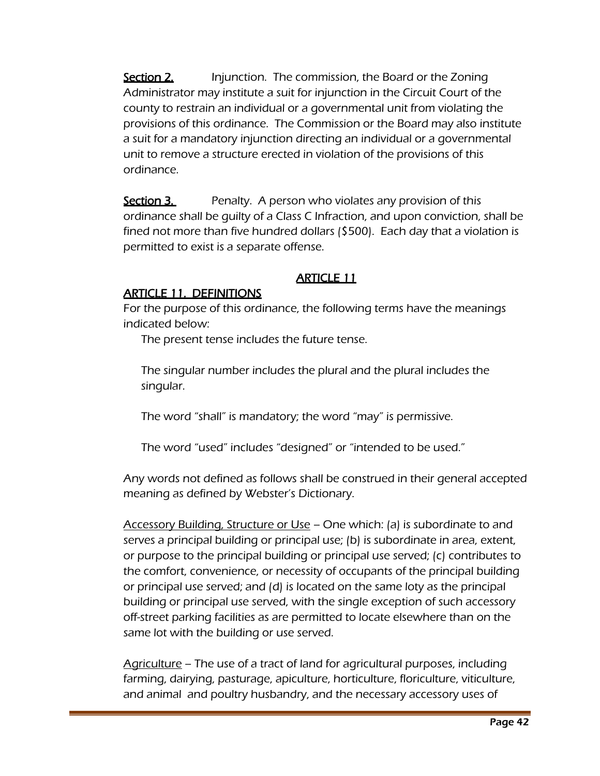**Section 2.** Injunction. The commission, the Board or the Zoning Administrator may institute a suit for injunction in the Circuit Court of the county to restrain an individual or a governmental unit from violating the provisions of this ordinance. The Commission or the Board may also institute a suit for a mandatory injunction directing an individual or a governmental unit to remove a structure erected in violation of the provisions of this ordinance.

**Section 3.** Penalty. A person who violates any provision of this ordinance shall be guilty of a Class C Infraction, and upon conviction, shall be fined not more than five hundred dollars (\$500). Each day that a violation is permitted to exist is a separate offense.

# ARTICLE 11

# ARTICLE 11. DEFINITIONS

For the purpose of this ordinance, the following terms have the meanings indicated below:

The present tense includes the future tense.

The singular number includes the plural and the plural includes the singular.

The word "shall" is mandatory; the word "may" is permissive.

The word "used" includes "designed" or "intended to be used."

Any words not defined as follows shall be construed in their general accepted meaning as defined by Webster's Dictionary.

Accessory Building, Structure or Use – One which: (a) is subordinate to and serves a principal building or principal use; (b) is subordinate in area, extent, or purpose to the principal building or principal use served; (c) contributes to the comfort, convenience, or necessity of occupants of the principal building or principal use served; and (d) is located on the same loty as the principal building or principal use served, with the single exception of such accessory off-street parking facilities as are permitted to locate elsewhere than on the same lot with the building or use served.

Agriculture – The use of a tract of land for agricultural purposes, including farming, dairying, pasturage, apiculture, horticulture, floriculture, viticulture, and animal and poultry husbandry, and the necessary accessory uses of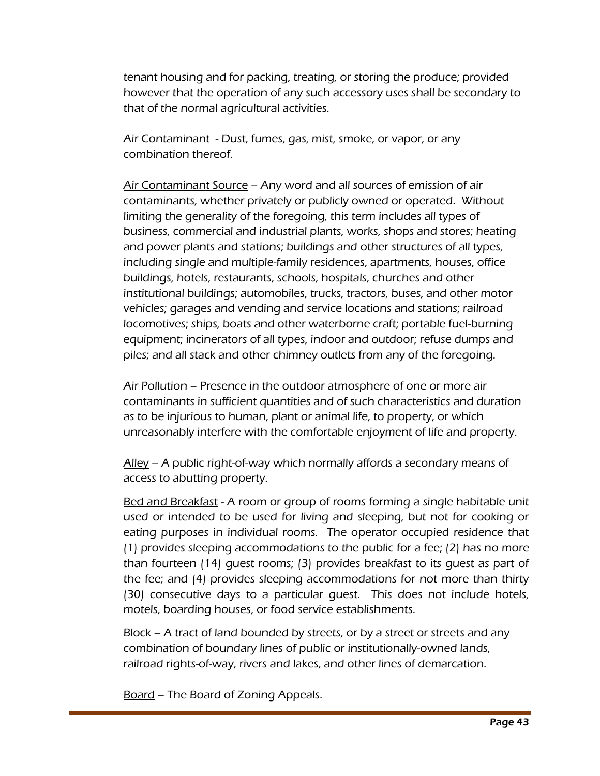tenant housing and for packing, treating, or storing the produce; provided however that the operation of any such accessory uses shall be secondary to that of the normal agricultural activities.

Air Contaminant - Dust, fumes, gas, mist, smoke, or vapor, or any combination thereof.

Air Contaminant Source – Any word and all sources of emission of air contaminants, whether privately or publicly owned or operated. Without limiting the generality of the foregoing, this term includes all types of business, commercial and industrial plants, works, shops and stores; heating and power plants and stations; buildings and other structures of all types, including single and multiple-family residences, apartments, houses, office buildings, hotels, restaurants, schools, hospitals, churches and other institutional buildings; automobiles, trucks, tractors, buses, and other motor vehicles; garages and vending and service locations and stations; railroad locomotives; ships, boats and other waterborne craft; portable fuel-burning equipment; incinerators of all types, indoor and outdoor; refuse dumps and piles; and all stack and other chimney outlets from any of the foregoing.

Air Pollution – Presence in the outdoor atmosphere of one or more air contaminants in sufficient quantities and of such characteristics and duration as to be injurious to human, plant or animal life, to property, or which unreasonably interfere with the comfortable enjoyment of life and property.

Alley – A public right-of-way which normally affords a secondary means of access to abutting property.

Bed and Breakfast - A room or group of rooms forming a single habitable unit used or intended to be used for living and sleeping, but not for cooking or eating purposes in individual rooms. The operator occupied residence that (1) provides sleeping accommodations to the public for a fee; (2) has no more than fourteen (14) guest rooms; (3) provides breakfast to its guest as part of the fee; and (4) provides sleeping accommodations for not more than thirty (30) consecutive days to a particular guest. This does not include hotels, motels, boarding houses, or food service establishments.

Block – A tract of land bounded by streets, or by a street or streets and any combination of boundary lines of public or institutionally-owned lands, railroad rights-of-way, rivers and lakes, and other lines of demarcation.

Board – The Board of Zoning Appeals.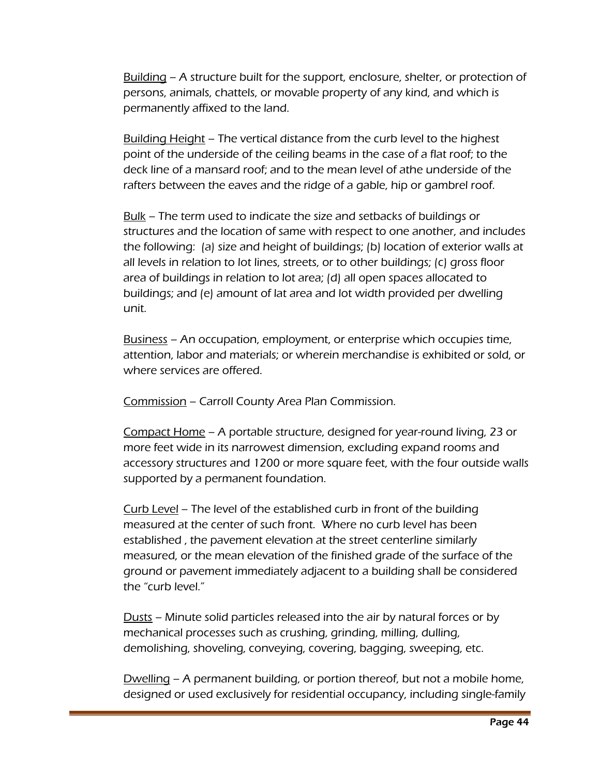Building – A structure built for the support, enclosure, shelter, or protection of persons, animals, chattels, or movable property of any kind, and which is permanently affixed to the land.

Building Height – The vertical distance from the curb level to the highest point of the underside of the ceiling beams in the case of a flat roof; to the deck line of a mansard roof; and to the mean level of athe underside of the rafters between the eaves and the ridge of a gable, hip or gambrel roof.

Bulk – The term used to indicate the size and setbacks of buildings or structures and the location of same with respect to one another, and includes the following: (a) size and height of buildings; (b) location of exterior walls at all levels in relation to lot lines, streets, or to other buildings; (c) gross floor area of buildings in relation to lot area; (d) all open spaces allocated to buildings; and (e) amount of lat area and lot width provided per dwelling unit.

Business – An occupation, employment, or enterprise which occupies time, attention, labor and materials; or wherein merchandise is exhibited or sold, or where services are offered.

Commission – Carroll County Area Plan Commission.

Compact Home – A portable structure, designed for year-round living, 23 or more feet wide in its narrowest dimension, excluding expand rooms and accessory structures and 1200 or more square feet, with the four outside walls supported by a permanent foundation.

Curb Level – The level of the established curb in front of the building measured at the center of such front. Where no curb level has been established , the pavement elevation at the street centerline similarly measured, or the mean elevation of the finished grade of the surface of the ground or pavement immediately adjacent to a building shall be considered the "curb level."

Dusts – Minute solid particles released into the air by natural forces or by mechanical processes such as crushing, grinding, milling, dulling, demolishing, shoveling, conveying, covering, bagging, sweeping, etc.

Dwelling – A permanent building, or portion thereof, but not a mobile home, designed or used exclusively for residential occupancy, including single-family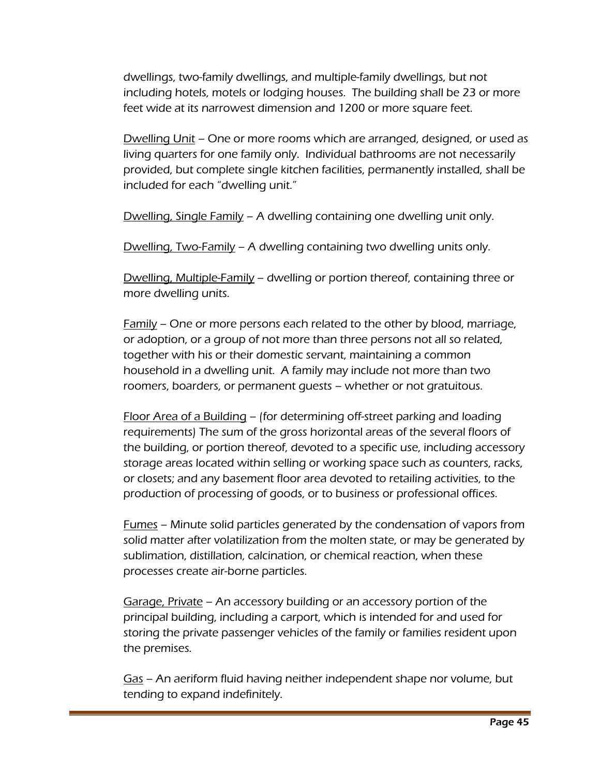dwellings, two-family dwellings, and multiple-family dwellings, but not including hotels, motels or lodging houses. The building shall be 23 or more feet wide at its narrowest dimension and 1200 or more square feet.

Dwelling Unit – One or more rooms which are arranged, designed, or used as living quarters for one family only. Individual bathrooms are not necessarily provided, but complete single kitchen facilities, permanently installed, shall be included for each "dwelling unit."

Dwelling, Single Family – A dwelling containing one dwelling unit only.

Dwelling, Two-Family – A dwelling containing two dwelling units only.

Dwelling, Multiple-Family – dwelling or portion thereof, containing three or more dwelling units.

Family – One or more persons each related to the other by blood, marriage, or adoption, or a group of not more than three persons not all so related, together with his or their domestic servant, maintaining a common household in a dwelling unit. A family may include not more than two roomers, boarders, or permanent guests – whether or not gratuitous.

Floor Area of a Building – (for determining off-street parking and loading requirements) The sum of the gross horizontal areas of the several floors of the building, or portion thereof, devoted to a specific use, including accessory storage areas located within selling or working space such as counters, racks, or closets; and any basement floor area devoted to retailing activities, to the production of processing of goods, or to business or professional offices.

Fumes – Minute solid particles generated by the condensation of vapors from solid matter after volatilization from the molten state, or may be generated by sublimation, distillation, calcination, or chemical reaction, when these processes create air-borne particles.

Garage, Private – An accessory building or an accessory portion of the principal building, including a carport, which is intended for and used for storing the private passenger vehicles of the family or families resident upon the premises.

Gas – An aeriform fluid having neither independent shape nor volume, but tending to expand indefinitely.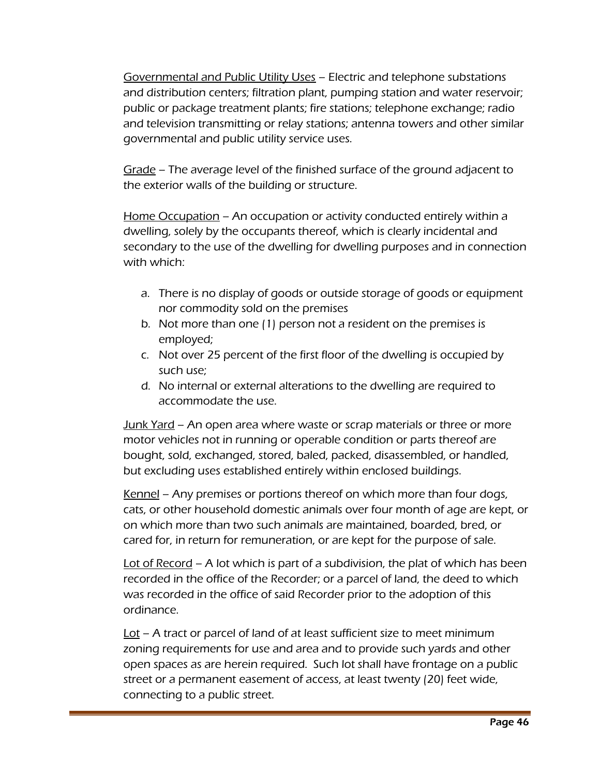Governmental and Public Utility Uses – Electric and telephone substations and distribution centers; filtration plant, pumping station and water reservoir; public or package treatment plants; fire stations; telephone exchange; radio and television transmitting or relay stations; antenna towers and other similar governmental and public utility service uses.

Grade – The average level of the finished surface of the ground adjacent to the exterior walls of the building or structure.

Home Occupation – An occupation or activity conducted entirely within a dwelling, solely by the occupants thereof, which is clearly incidental and secondary to the use of the dwelling for dwelling purposes and in connection with which:

- a. There is no display of goods or outside storage of goods or equipment nor commodity sold on the premises
- b. Not more than one (1) person not a resident on the premises is employed;
- c. Not over 25 percent of the first floor of the dwelling is occupied by such use;
- d. No internal or external alterations to the dwelling are required to accommodate the use.

Junk Yard – An open area where waste or scrap materials or three or more motor vehicles not in running or operable condition or parts thereof are bought, sold, exchanged, stored, baled, packed, disassembled, or handled, but excluding uses established entirely within enclosed buildings.

Kennel – Any premises or portions thereof on which more than four dogs, cats, or other household domestic animals over four month of age are kept, or on which more than two such animals are maintained, boarded, bred, or cared for, in return for remuneration, or are kept for the purpose of sale.

Lot of Record – A lot which is part of a subdivision, the plat of which has been recorded in the office of the Recorder; or a parcel of land, the deed to which was recorded in the office of said Recorder prior to the adoption of this ordinance.

 $\underline{\text{Lot}}$  – A tract or parcel of land of at least sufficient size to meet minimum zoning requirements for use and area and to provide such yards and other open spaces as are herein required. Such lot shall have frontage on a public street or a permanent easement of access, at least twenty (20) feet wide, connecting to a public street.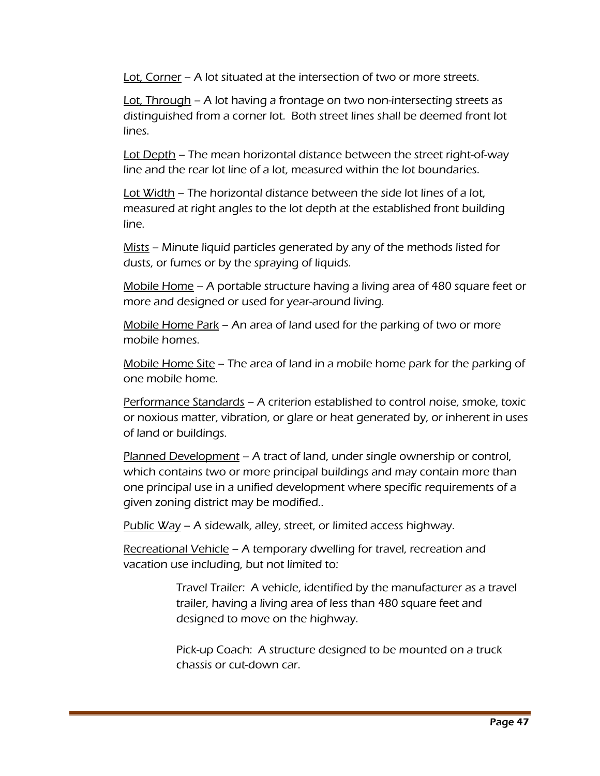Lot, Corner – A lot situated at the intersection of two or more streets.

Lot, Through – A lot having a frontage on two non-intersecting streets as distinguished from a corner lot. Both street lines shall be deemed front lot lines.

Lot Depth – The mean horizontal distance between the street right-of-way line and the rear lot line of a lot, measured within the lot boundaries.

Lot Width – The horizontal distance between the side lot lines of a lot, measured at right angles to the lot depth at the established front building line.

Mists – Minute liquid particles generated by any of the methods listed for dusts, or fumes or by the spraying of liquids.

Mobile Home – A portable structure having a living area of 480 square feet or more and designed or used for year-around living.

Mobile Home Park – An area of land used for the parking of two or more mobile homes.

Mobile Home Site – The area of land in a mobile home park for the parking of one mobile home.

Performance Standards – A criterion established to control noise, smoke, toxic or noxious matter, vibration, or glare or heat generated by, or inherent in uses of land or buildings.

Planned Development – A tract of land, under single ownership or control, which contains two or more principal buildings and may contain more than one principal use in a unified development where specific requirements of a given zoning district may be modified..

Public  $Way - A$  sidewalk, alley, street, or limited access highway.

Recreational Vehicle - A temporary dwelling for travel, recreation and vacation use including, but not limited to:

> Travel Trailer: A vehicle, identified by the manufacturer as a travel trailer, having a living area of less than 480 square feet and designed to move on the highway.

Pick-up Coach: A structure designed to be mounted on a truck chassis or cut-down car.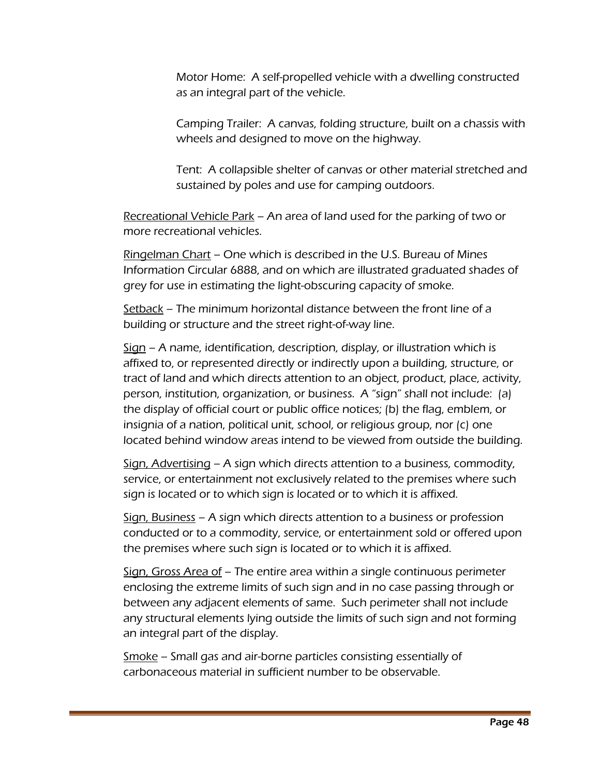Motor Home: A self-propelled vehicle with a dwelling constructed as an integral part of the vehicle.

Camping Trailer: A canvas, folding structure, built on a chassis with wheels and designed to move on the highway.

Tent: A collapsible shelter of canvas or other material stretched and sustained by poles and use for camping outdoors.

Recreational Vehicle Park – An area of land used for the parking of two or more recreational vehicles.

Ringelman Chart – One which is described in the U.S. Bureau of Mines Information Circular 6888, and on which are illustrated graduated shades of grey for use in estimating the light-obscuring capacity of smoke.

Setback – The minimum horizontal distance between the front line of a building or structure and the street right-of-way line.

 $Sign - A$  name, identification, description, display, or illustration which is affixed to, or represented directly or indirectly upon a building, structure, or tract of land and which directs attention to an object, product, place, activity, person, institution, organization, or business. A "sign" shall not include: (a) the display of official court or public office notices; (b) the flag, emblem, or insignia of a nation, political unit, school, or religious group, nor (c) one located behind window areas intend to be viewed from outside the building.

Sign, Advertising – A sign which directs attention to a business, commodity, service, or entertainment not exclusively related to the premises where such sign is located or to which sign is located or to which it is affixed.

Sign, Business – A sign which directs attention to a business or profession conducted or to a commodity, service, or entertainment sold or offered upon the premises where such sign is located or to which it is affixed.

Sign, Gross Area of – The entire area within a single continuous perimeter enclosing the extreme limits of such sign and in no case passing through or between any adjacent elements of same. Such perimeter shall not include any structural elements lying outside the limits of such sign and not forming an integral part of the display.

Smoke – Small gas and air-borne particles consisting essentially of carbonaceous material in sufficient number to be observable.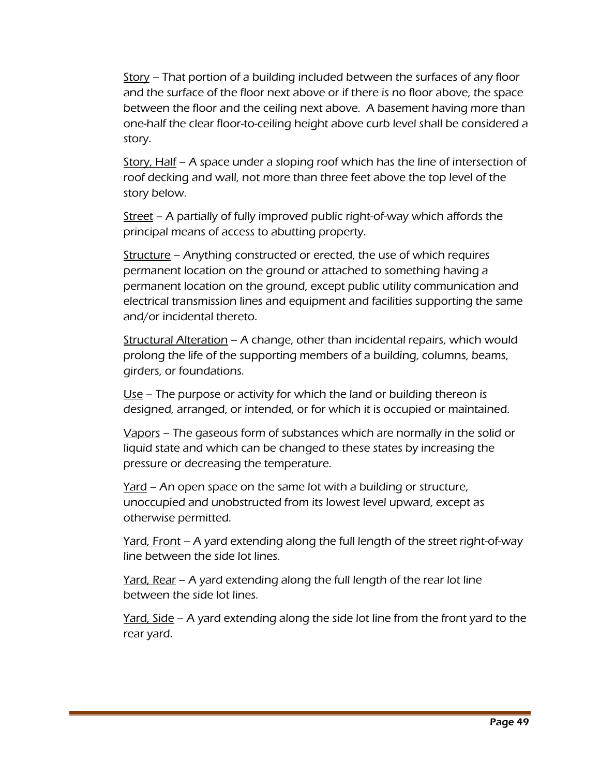Story – That portion of a building included between the surfaces of any floor and the surface of the floor next above or if there is no floor above, the space between the floor and the ceiling next above. A basement having more than one-half the clear floor-to-ceiling height above curb level shall be considered a story.

Story, Half – A space under a sloping roof which has the line of intersection of roof decking and wall, not more than three feet above the top level of the story below.

Street – A partially of fully improved public right-of-way which affords the principal means of access to abutting property.

Structure – Anything constructed or erected, the use of which requires permanent location on the ground or attached to something having a permanent location on the ground, except public utility communication and electrical transmission lines and equipment and facilities supporting the same and/or incidental thereto.

Structural Alteration – A change, other than incidental repairs, which would prolong the life of the supporting members of a building, columns, beams, girders, or foundations.

Use – The purpose or activity for which the land or building thereon is designed, arranged, or intended, or for which it is occupied or maintained.

Vapors – The gaseous form of substances which are normally in the solid or liquid state and which can be changed to these states by increasing the pressure or decreasing the temperature.

<u>Yard</u> – An open space on the same lot with a building or structure, unoccupied and unobstructed from its lowest level upward, except as otherwise permitted.

Yard, Front – A yard extending along the full length of the street right-of-way line between the side lot lines.

Yard, Rear – A yard extending along the full length of the rear lot line between the side lot lines.

Yard, Side – A yard extending along the side lot line from the front yard to the rear yard.